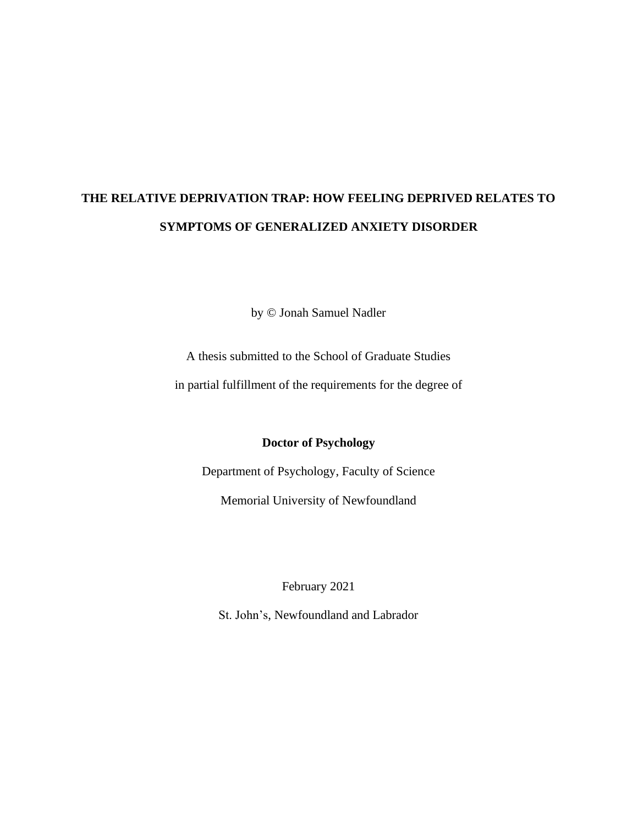# **THE RELATIVE DEPRIVATION TRAP: HOW FEELING DEPRIVED RELATES TO SYMPTOMS OF GENERALIZED ANXIETY DISORDER**

by © Jonah Samuel Nadler

A thesis submitted to the School of Graduate Studies

in partial fulfillment of the requirements for the degree of

**Doctor of Psychology**

Department of Psychology, Faculty of Science

Memorial University of Newfoundland

February 2021

St. John's, Newfoundland and Labrador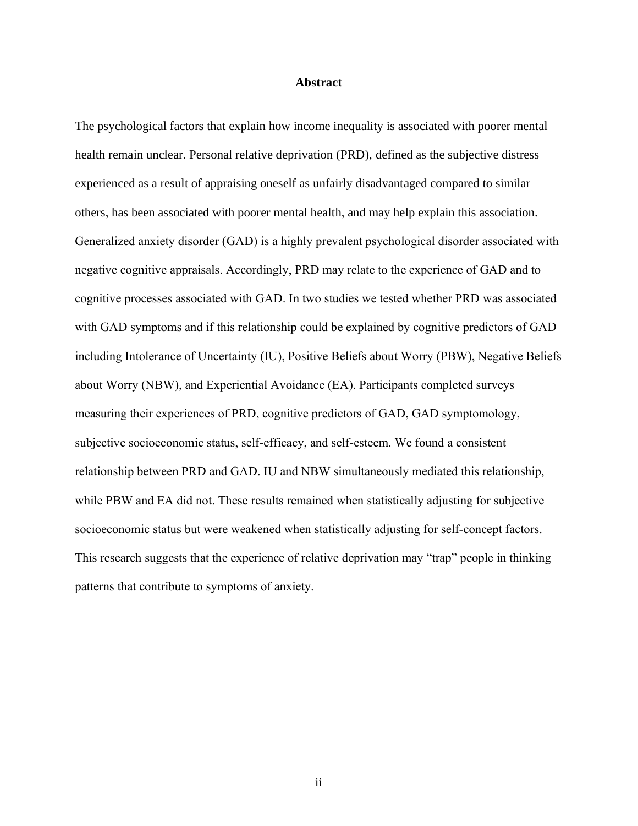#### **Abstract**

<span id="page-1-0"></span>The psychological factors that explain how income inequality is associated with poorer mental health remain unclear. Personal relative deprivation (PRD), defined as the subjective distress experienced as a result of appraising oneself as unfairly disadvantaged compared to similar others, has been associated with poorer mental health, and may help explain this association. Generalized anxiety disorder (GAD) is a highly prevalent psychological disorder associated with negative cognitive appraisals. Accordingly, PRD may relate to the experience of GAD and to cognitive processes associated with GAD. In two studies we tested whether PRD was associated with GAD symptoms and if this relationship could be explained by cognitive predictors of GAD including Intolerance of Uncertainty (IU), Positive Beliefs about Worry (PBW), Negative Beliefs about Worry (NBW), and Experiential Avoidance (EA). Participants completed surveys measuring their experiences of PRD, cognitive predictors of GAD, GAD symptomology, subjective socioeconomic status, self-efficacy, and self-esteem. We found a consistent relationship between PRD and GAD. IU and NBW simultaneously mediated this relationship, while PBW and EA did not. These results remained when statistically adjusting for subjective socioeconomic status but were weakened when statistically adjusting for self-concept factors. This research suggests that the experience of relative deprivation may "trap" people in thinking patterns that contribute to symptoms of anxiety.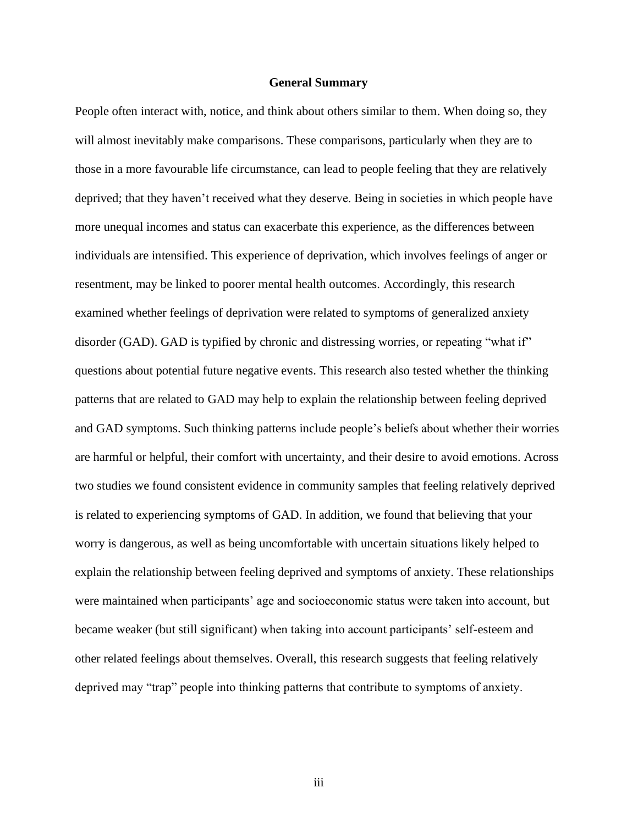#### **General Summary**

<span id="page-2-1"></span><span id="page-2-0"></span>People often interact with, notice, and think about others similar to them. When doing so, they will almost inevitably make comparisons. These comparisons, particularly when they are to those in a more favourable life circumstance, can lead to people feeling that they are relatively deprived; that they haven't received what they deserve. Being in societies in which people have more unequal incomes and status can exacerbate this experience, as the differences between individuals are intensified. This experience of deprivation, which involves feelings of anger or resentment, may be linked to poorer mental health outcomes. Accordingly, this research examined whether feelings of deprivation were related to symptoms of generalized anxiety disorder (GAD). GAD is typified by chronic and distressing worries, or repeating "what if" questions about potential future negative events. This research also tested whether the thinking patterns that are related to GAD may help to explain the relationship between feeling deprived and GAD symptoms. Such thinking patterns include people's beliefs about whether their worries are harmful or helpful, their comfort with uncertainty, and their desire to avoid emotions. Across two studies we found consistent evidence in community samples that feeling relatively deprived is related to experiencing symptoms of GAD. In addition, we found that believing that your worry is dangerous, as well as being uncomfortable with uncertain situations likely helped to explain the relationship between feeling deprived and symptoms of anxiety. These relationships were maintained when participants' age and socioeconomic status were taken into account, but became weaker (but still significant) when taking into account participants' self-esteem and other related feelings about themselves. Overall, this research suggests that feeling relatively deprived may "trap" people into thinking patterns that contribute to symptoms of anxiety.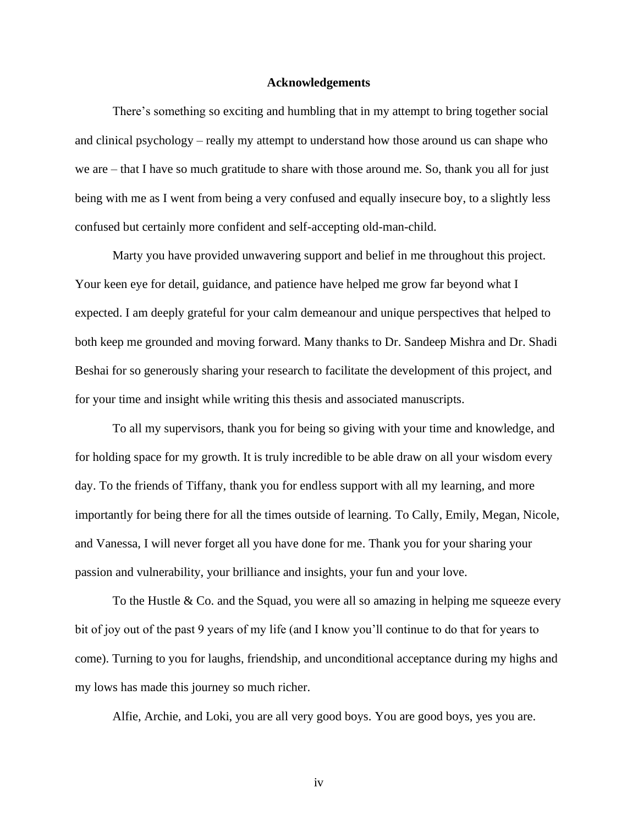#### **Acknowledgements**

There's something so exciting and humbling that in my attempt to bring together social and clinical psychology – really my attempt to understand how those around us can shape who we are – that I have so much gratitude to share with those around me. So, thank you all for just being with me as I went from being a very confused and equally insecure boy, to a slightly less confused but certainly more confident and self-accepting old-man-child.

Marty you have provided unwavering support and belief in me throughout this project. Your keen eye for detail, guidance, and patience have helped me grow far beyond what I expected. I am deeply grateful for your calm demeanour and unique perspectives that helped to both keep me grounded and moving forward. Many thanks to Dr. Sandeep Mishra and Dr. Shadi Beshai for so generously sharing your research to facilitate the development of this project, and for your time and insight while writing this thesis and associated manuscripts.

To all my supervisors, thank you for being so giving with your time and knowledge, and for holding space for my growth. It is truly incredible to be able draw on all your wisdom every day. To the friends of Tiffany, thank you for endless support with all my learning, and more importantly for being there for all the times outside of learning. To Cally, Emily, Megan, Nicole, and Vanessa, I will never forget all you have done for me. Thank you for your sharing your passion and vulnerability, your brilliance and insights, your fun and your love.

To the Hustle & Co. and the Squad, you were all so amazing in helping me squeeze every bit of joy out of the past 9 years of my life (and I know you'll continue to do that for years to come). Turning to you for laughs, friendship, and unconditional acceptance during my highs and my lows has made this journey so much richer.

Alfie, Archie, and Loki, you are all very good boys. You are good boys, yes you are.

iv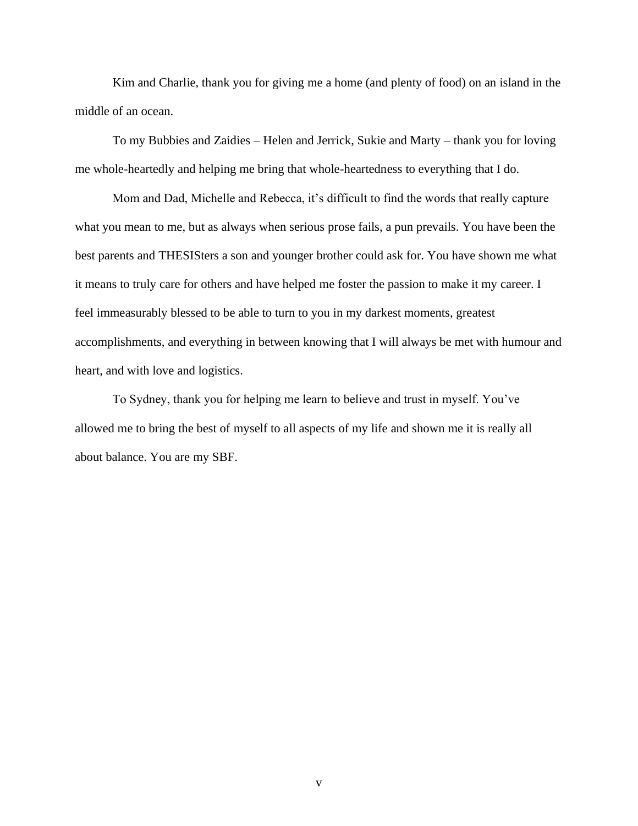Kim and Charlie, thank you for giving me a home (and plenty of food) on an island in the middle of an ocean.

To my Bubbies and Zaidies – Helen and Jerrick, Sukie and Marty – thank you for loving me whole-heartedly and helping me bring that whole-heartedness to everything that I do.

Mom and Dad, Michelle and Rebecca, it's difficult to find the words that really capture what you mean to me, but as always when serious prose fails, a pun prevails. You have been the best parents and THESISters a son and younger brother could ask for. You have shown me what it means to truly care for others and have helped me foster the passion to make it my career. I feel immeasurably blessed to be able to turn to you in my darkest moments, greatest accomplishments, and everything in between knowing that I will always be met with humour and heart, and with love and logistics.

To Sydney, thank you for helping me learn to believe and trust in myself. You've allowed me to bring the best of myself to all aspects of my life and shown me it is really all about balance. You are my SBF.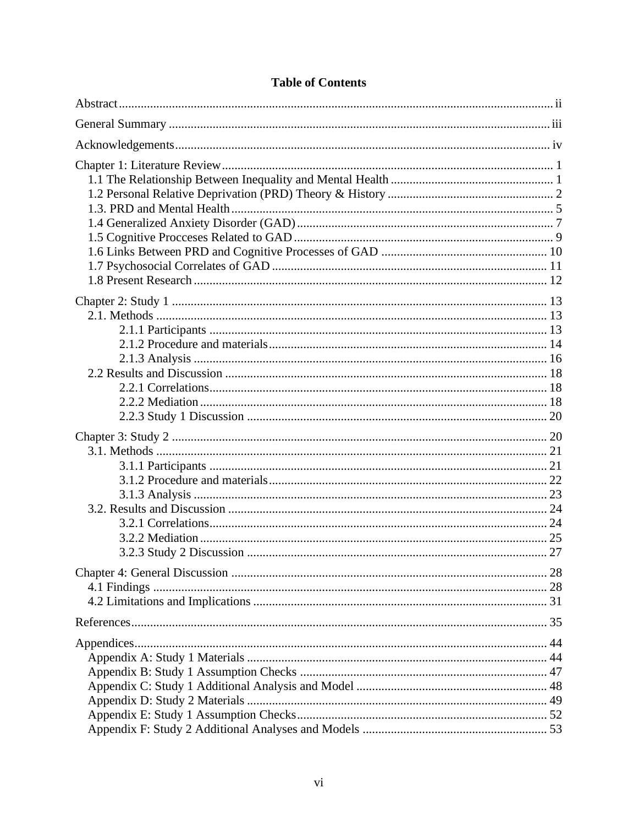# **Table of Contents**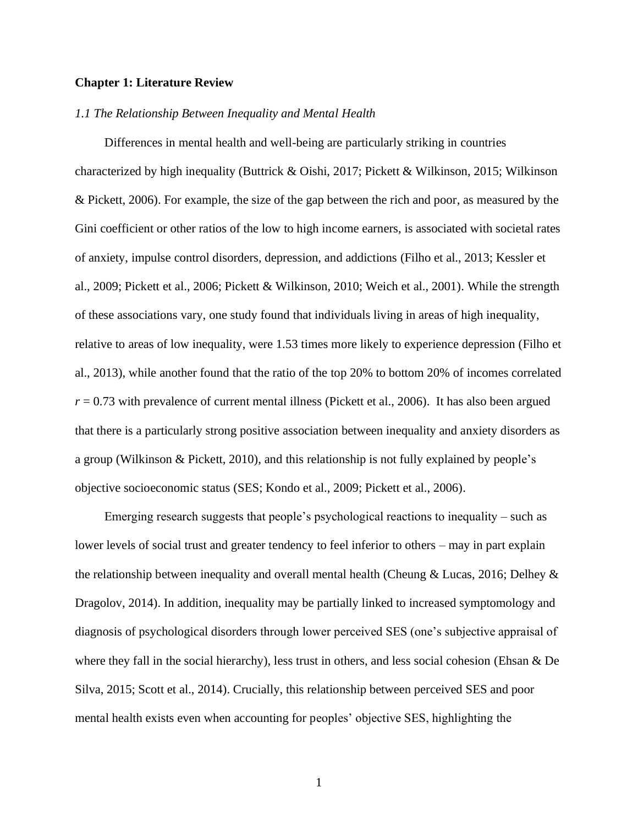#### <span id="page-6-0"></span>**Chapter 1: Literature Review**

#### <span id="page-6-1"></span>*1.1 The Relationship Between Inequality and Mental Health*

Differences in mental health and well-being are particularly striking in countries characterized by high inequality (Buttrick & Oishi, 2017; Pickett & Wilkinson, 2015; Wilkinson & Pickett, 2006). For example, the size of the gap between the rich and poor, as measured by the Gini coefficient or other ratios of the low to high income earners, is associated with societal rates of anxiety, impulse control disorders, depression, and addictions (Filho et al., 2013; Kessler et al., 2009; Pickett et al., 2006; Pickett & Wilkinson, 2010; Weich et al., 2001). While the strength of these associations vary, one study found that individuals living in areas of high inequality, relative to areas of low inequality, were 1.53 times more likely to experience depression (Filho et al., 2013), while another found that the ratio of the top 20% to bottom 20% of incomes correlated  $r = 0.73$  with prevalence of current mental illness (Pickett et al., 2006). It has also been argued that there is a particularly strong positive association between inequality and anxiety disorders as a group (Wilkinson & Pickett, 2010), and this relationship is not fully explained by people's objective socioeconomic status (SES; Kondo et al., 2009; Pickett et al., 2006).

Emerging research suggests that people's psychological reactions to inequality – such as lower levels of social trust and greater tendency to feel inferior to others – may in part explain the relationship between inequality and overall mental health (Cheung & Lucas, 2016; Delhey & Dragolov, 2014). In addition, inequality may be partially linked to increased symptomology and diagnosis of psychological disorders through lower perceived SES (one's subjective appraisal of where they fall in the social hierarchy), less trust in others, and less social cohesion (Ehsan & De Silva, 2015; Scott et al., 2014). Crucially, this relationship between perceived SES and poor mental health exists even when accounting for peoples' objective SES, highlighting the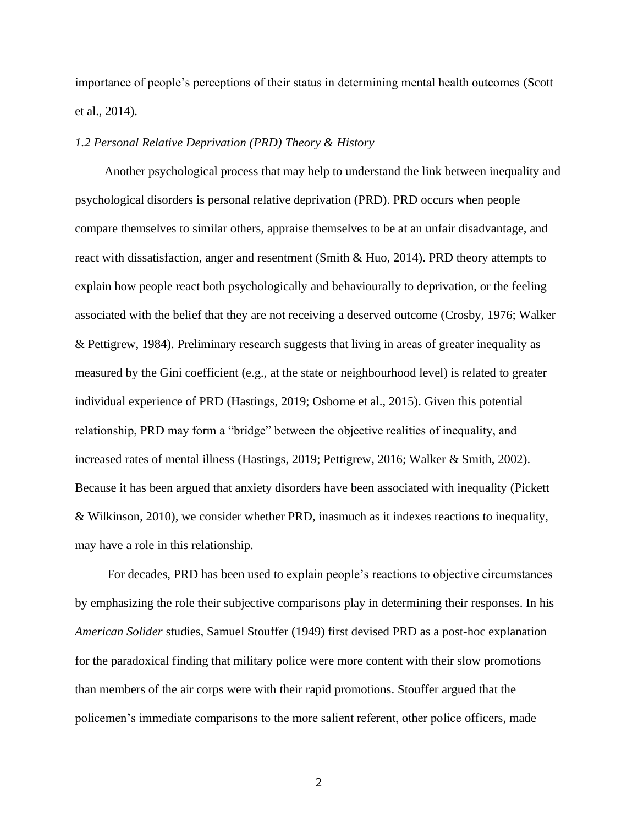importance of people's perceptions of their status in determining mental health outcomes (Scott et al., 2014).

#### <span id="page-7-0"></span>*1.2 Personal Relative Deprivation (PRD) Theory & History*

Another psychological process that may help to understand the link between inequality and psychological disorders is personal relative deprivation (PRD). PRD occurs when people compare themselves to similar others, appraise themselves to be at an unfair disadvantage, and react with dissatisfaction, anger and resentment (Smith & Huo, 2014). PRD theory attempts to explain how people react both psychologically and behaviourally to deprivation, or the feeling associated with the belief that they are not receiving a deserved outcome (Crosby, 1976; Walker & Pettigrew, 1984). Preliminary research suggests that living in areas of greater inequality as measured by the Gini coefficient (e.g., at the state or neighbourhood level) is related to greater individual experience of PRD (Hastings, 2019; Osborne et al., 2015). Given this potential relationship, PRD may form a "bridge" between the objective realities of inequality, and increased rates of mental illness (Hastings, 2019; Pettigrew, 2016; Walker & Smith, 2002). Because it has been argued that anxiety disorders have been associated with inequality (Pickett & Wilkinson, 2010), we consider whether PRD, inasmuch as it indexes reactions to inequality, may have a role in this relationship.

For decades, PRD has been used to explain people's reactions to objective circumstances by emphasizing the role their subjective comparisons play in determining their responses. In his *American Solider* studies, Samuel Stouffer (1949) first devised PRD as a post-hoc explanation for the paradoxical finding that military police were more content with their slow promotions than members of the air corps were with their rapid promotions. Stouffer argued that the policemen's immediate comparisons to the more salient referent, other police officers, made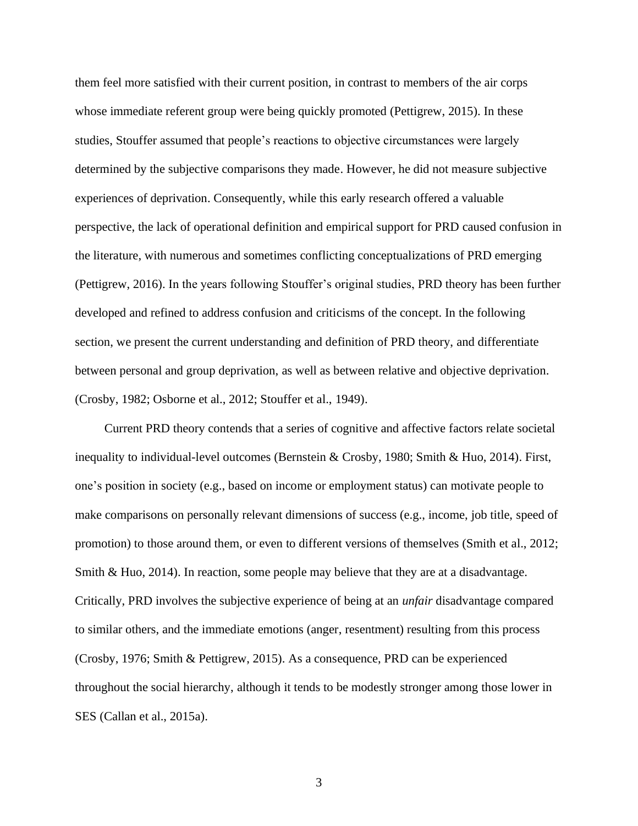them feel more satisfied with their current position, in contrast to members of the air corps whose immediate referent group were being quickly promoted (Pettigrew, 2015). In these studies, Stouffer assumed that people's reactions to objective circumstances were largely determined by the subjective comparisons they made. However, he did not measure subjective experiences of deprivation. Consequently, while this early research offered a valuable perspective, the lack of operational definition and empirical support for PRD caused confusion in the literature, with numerous and sometimes conflicting conceptualizations of PRD emerging (Pettigrew, 2016). In the years following Stouffer's original studies, PRD theory has been further developed and refined to address confusion and criticisms of the concept. In the following section, we present the current understanding and definition of PRD theory, and differentiate between personal and group deprivation, as well as between relative and objective deprivation. (Crosby, 1982; Osborne et al., 2012; Stouffer et al., 1949).

Current PRD theory contends that a series of cognitive and affective factors relate societal inequality to individual-level outcomes (Bernstein & Crosby, 1980; Smith & Huo, 2014). First, one's position in society (e.g., based on income or employment status) can motivate people to make comparisons on personally relevant dimensions of success (e.g., income, job title, speed of promotion) to those around them, or even to different versions of themselves (Smith et al., 2012; Smith & Huo, 2014). In reaction, some people may believe that they are at a disadvantage. Critically, PRD involves the subjective experience of being at an *unfair* disadvantage compared to similar others, and the immediate emotions (anger, resentment) resulting from this process (Crosby, 1976; Smith & Pettigrew, 2015). As a consequence, PRD can be experienced throughout the social hierarchy, although it tends to be modestly stronger among those lower in SES (Callan et al., 2015a).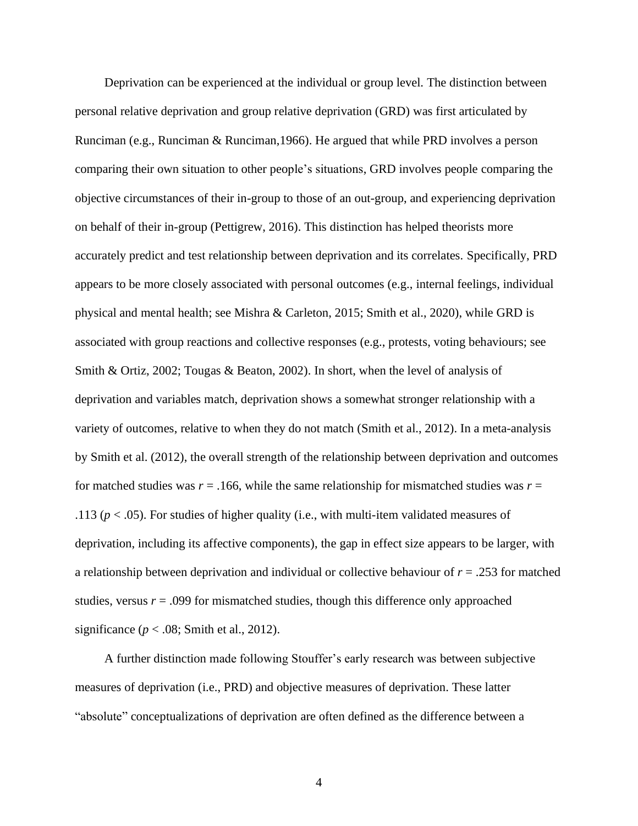Deprivation can be experienced at the individual or group level. The distinction between personal relative deprivation and group relative deprivation (GRD) was first articulated by Runciman (e.g., Runciman & Runciman,1966). He argued that while PRD involves a person comparing their own situation to other people's situations, GRD involves people comparing the objective circumstances of their in-group to those of an out-group, and experiencing deprivation on behalf of their in-group (Pettigrew, 2016). This distinction has helped theorists more accurately predict and test relationship between deprivation and its correlates. Specifically, PRD appears to be more closely associated with personal outcomes (e.g., internal feelings, individual physical and mental health; see Mishra & Carleton, 2015; Smith et al., 2020), while GRD is associated with group reactions and collective responses (e.g., protests, voting behaviours; see Smith & Ortiz, 2002; Tougas & Beaton, 2002). In short, when the level of analysis of deprivation and variables match, deprivation shows a somewhat stronger relationship with a variety of outcomes, relative to when they do not match (Smith et al., 2012). In a meta-analysis by Smith et al. (2012), the overall strength of the relationship between deprivation and outcomes for matched studies was  $r = .166$ , while the same relationship for mismatched studies was  $r =$ .113 ( $p < .05$ ). For studies of higher quality (i.e., with multi-item validated measures of deprivation, including its affective components), the gap in effect size appears to be larger, with a relationship between deprivation and individual or collective behaviour of *r* = .253 for matched studies, versus  $r = .099$  for mismatched studies, though this difference only approached significance ( $p < .08$ ; Smith et al., 2012).

A further distinction made following Stouffer's early research was between subjective measures of deprivation (i.e., PRD) and objective measures of deprivation. These latter "absolute" conceptualizations of deprivation are often defined as the difference between a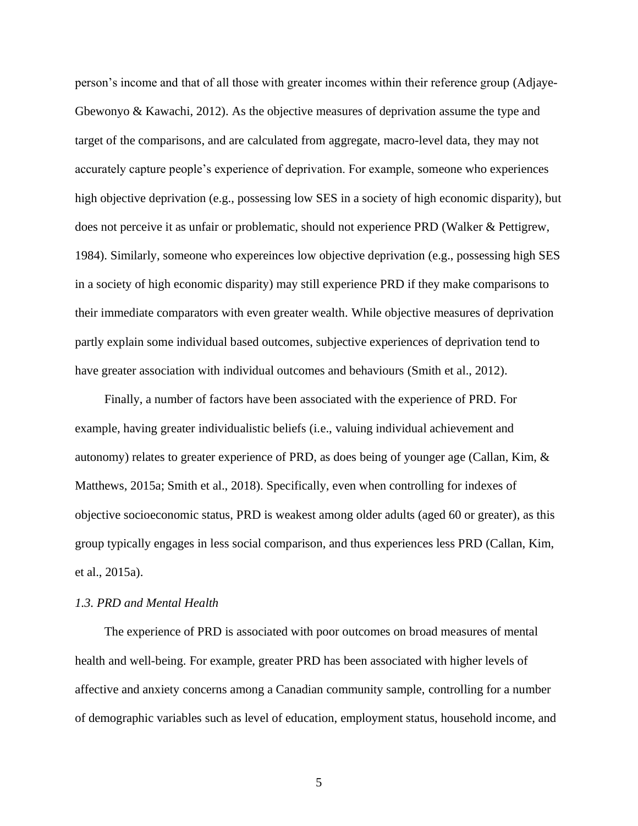person's income and that of all those with greater incomes within their reference group (Adjaye-Gbewonyo & Kawachi, 2012). As the objective measures of deprivation assume the type and target of the comparisons, and are calculated from aggregate, macro-level data, they may not accurately capture people's experience of deprivation. For example, someone who experiences high objective deprivation (e.g., possessing low SES in a society of high economic disparity), but does not perceive it as unfair or problematic, should not experience PRD (Walker & Pettigrew, 1984). Similarly, someone who expereinces low objective deprivation (e.g., possessing high SES in a society of high economic disparity) may still experience PRD if they make comparisons to their immediate comparators with even greater wealth. While objective measures of deprivation partly explain some individual based outcomes, subjective experiences of deprivation tend to have greater association with individual outcomes and behaviours (Smith et al., 2012).

Finally, a number of factors have been associated with the experience of PRD. For example, having greater individualistic beliefs (i.e., valuing individual achievement and autonomy) relates to greater experience of PRD, as does being of younger age (Callan, Kim, & Matthews, 2015a; Smith et al., 2018). Specifically, even when controlling for indexes of objective socioeconomic status, PRD is weakest among older adults (aged 60 or greater), as this group typically engages in less social comparison, and thus experiences less PRD (Callan, Kim, et al., 2015a).

#### <span id="page-10-0"></span>*1.3. PRD and Mental Health*

The experience of PRD is associated with poor outcomes on broad measures of mental health and well-being. For example, greater PRD has been associated with higher levels of affective and anxiety concerns among a Canadian community sample, controlling for a number of demographic variables such as level of education, employment status, household income, and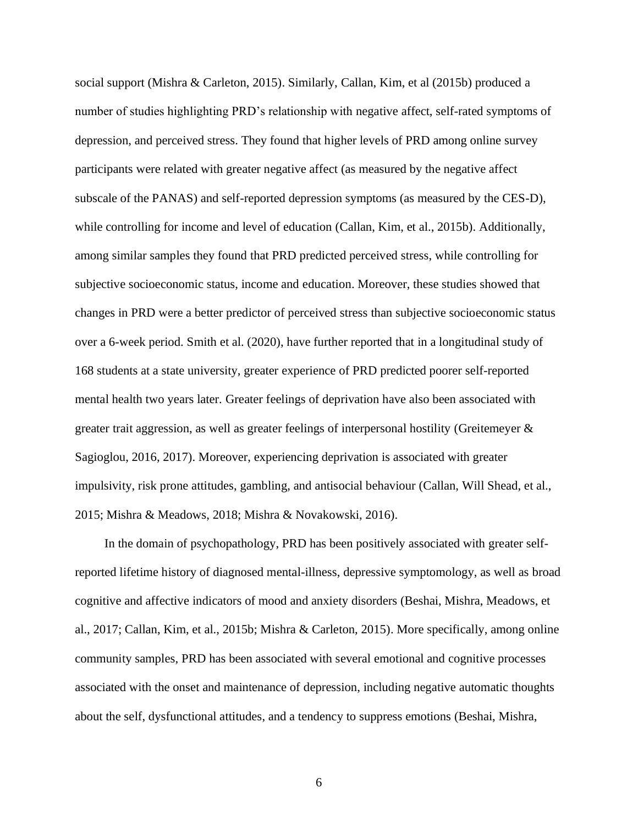social support (Mishra & Carleton, 2015). Similarly, Callan, Kim, et al (2015b) produced a number of studies highlighting PRD's relationship with negative affect, self-rated symptoms of depression, and perceived stress. They found that higher levels of PRD among online survey participants were related with greater negative affect (as measured by the negative affect subscale of the PANAS) and self-reported depression symptoms (as measured by the CES-D), while controlling for income and level of education (Callan, Kim, et al., 2015b). Additionally, among similar samples they found that PRD predicted perceived stress, while controlling for subjective socioeconomic status, income and education. Moreover, these studies showed that changes in PRD were a better predictor of perceived stress than subjective socioeconomic status over a 6-week period. Smith et al. (2020), have further reported that in a longitudinal study of 168 students at a state university, greater experience of PRD predicted poorer self-reported mental health two years later. Greater feelings of deprivation have also been associated with greater trait aggression, as well as greater feelings of interpersonal hostility (Greitemeyer  $\&$ Sagioglou, 2016, 2017). Moreover, experiencing deprivation is associated with greater impulsivity, risk prone attitudes, gambling, and antisocial behaviour (Callan, Will Shead, et al., 2015; Mishra & Meadows, 2018; Mishra & Novakowski, 2016).

In the domain of psychopathology, PRD has been positively associated with greater selfreported lifetime history of diagnosed mental-illness, depressive symptomology, as well as broad cognitive and affective indicators of mood and anxiety disorders (Beshai, Mishra, Meadows, et al., 2017; Callan, Kim, et al., 2015b; Mishra & Carleton, 2015). More specifically, among online community samples, PRD has been associated with several emotional and cognitive processes associated with the onset and maintenance of depression, including negative automatic thoughts about the self, dysfunctional attitudes, and a tendency to suppress emotions (Beshai, Mishra,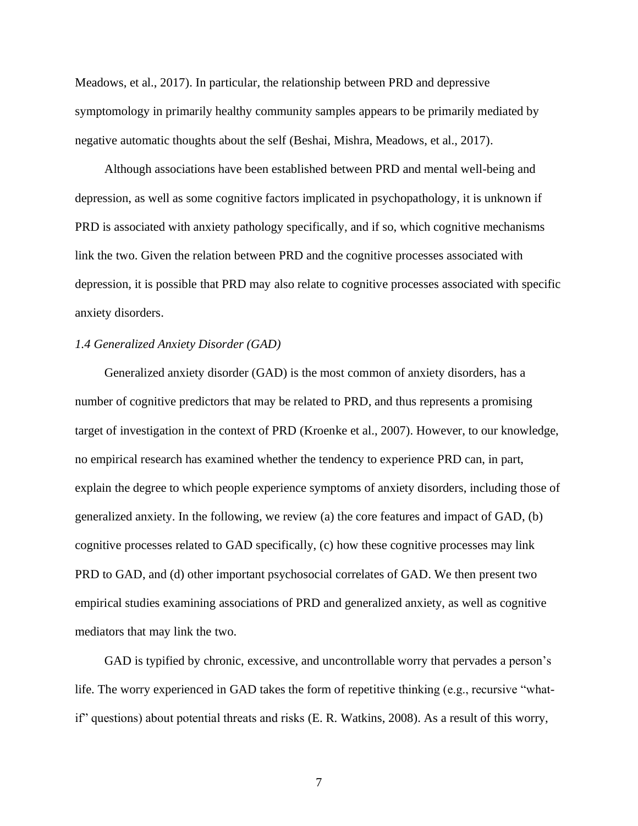Meadows, et al., 2017). In particular, the relationship between PRD and depressive symptomology in primarily healthy community samples appears to be primarily mediated by negative automatic thoughts about the self (Beshai, Mishra, Meadows, et al., 2017).

Although associations have been established between PRD and mental well-being and depression, as well as some cognitive factors implicated in psychopathology, it is unknown if PRD is associated with anxiety pathology specifically, and if so, which cognitive mechanisms link the two. Given the relation between PRD and the cognitive processes associated with depression, it is possible that PRD may also relate to cognitive processes associated with specific anxiety disorders.

# <span id="page-12-0"></span>*1.4 Generalized Anxiety Disorder (GAD)*

Generalized anxiety disorder (GAD) is the most common of anxiety disorders, has a number of cognitive predictors that may be related to PRD, and thus represents a promising target of investigation in the context of PRD (Kroenke et al., 2007). However, to our knowledge, no empirical research has examined whether the tendency to experience PRD can, in part, explain the degree to which people experience symptoms of anxiety disorders, including those of generalized anxiety. In the following, we review (a) the core features and impact of GAD, (b) cognitive processes related to GAD specifically, (c) how these cognitive processes may link PRD to GAD, and (d) other important psychosocial correlates of GAD. We then present two empirical studies examining associations of PRD and generalized anxiety, as well as cognitive mediators that may link the two.

GAD is typified by chronic, excessive, and uncontrollable worry that pervades a person's life. The worry experienced in GAD takes the form of repetitive thinking (e.g., recursive "whatif" questions) about potential threats and risks (E. R. Watkins, 2008). As a result of this worry,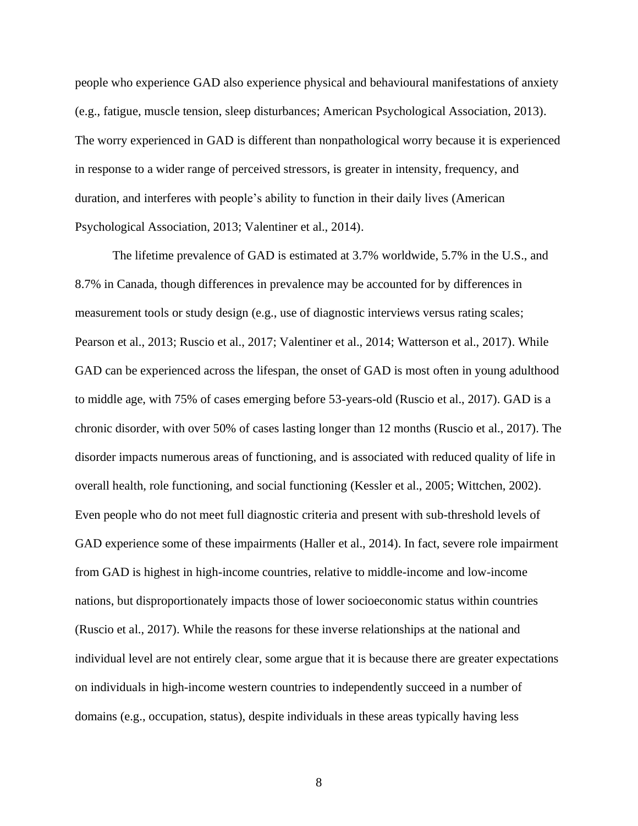people who experience GAD also experience physical and behavioural manifestations of anxiety (e.g., fatigue, muscle tension, sleep disturbances; American Psychological Association, 2013). The worry experienced in GAD is different than nonpathological worry because it is experienced in response to a wider range of perceived stressors, is greater in intensity, frequency, and duration, and interferes with people's ability to function in their daily lives (American Psychological Association, 2013; Valentiner et al., 2014).

The lifetime prevalence of GAD is estimated at 3.7% worldwide, 5.7% in the U.S., and 8.7% in Canada, though differences in prevalence may be accounted for by differences in measurement tools or study design (e.g., use of diagnostic interviews versus rating scales; Pearson et al., 2013; Ruscio et al., 2017; Valentiner et al., 2014; Watterson et al., 2017). While GAD can be experienced across the lifespan, the onset of GAD is most often in young adulthood to middle age, with 75% of cases emerging before 53-years-old (Ruscio et al., 2017). GAD is a chronic disorder, with over 50% of cases lasting longer than 12 months (Ruscio et al., 2017). The disorder impacts numerous areas of functioning, and is associated with reduced quality of life in overall health, role functioning, and social functioning (Kessler et al., 2005; Wittchen, 2002). Even people who do not meet full diagnostic criteria and present with sub-threshold levels of GAD experience some of these impairments (Haller et al., 2014). In fact, severe role impairment from GAD is highest in high-income countries, relative to middle-income and low-income nations, but disproportionately impacts those of lower socioeconomic status within countries (Ruscio et al., 2017). While the reasons for these inverse relationships at the national and individual level are not entirely clear, some argue that it is because there are greater expectations on individuals in high-income western countries to independently succeed in a number of domains (e.g., occupation, status), despite individuals in these areas typically having less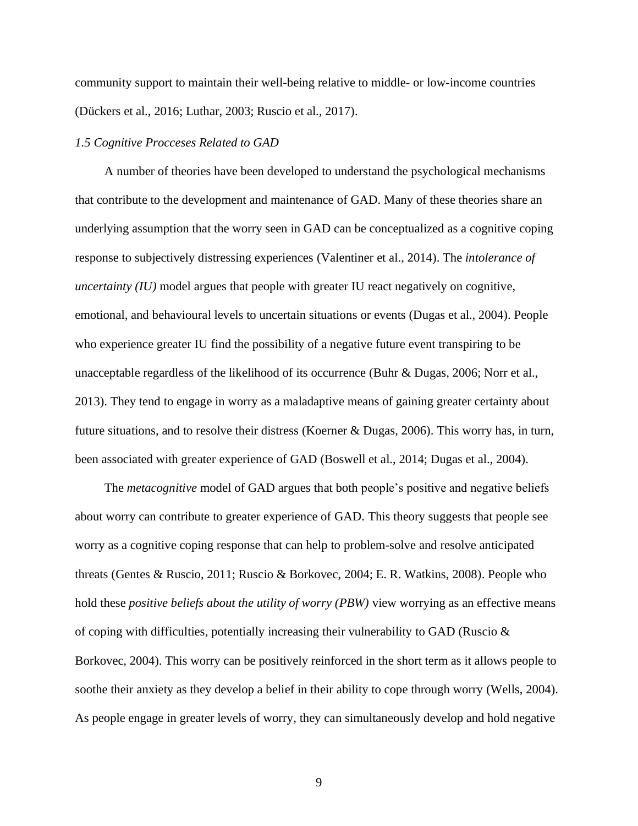community support to maintain their well-being relative to middle- or low-income countries (Dückers et al., 2016; Luthar, 2003; Ruscio et al., 2017).

#### <span id="page-14-0"></span>*1.5 Cognitive Procceses Related to GAD*

A number of theories have been developed to understand the psychological mechanisms that contribute to the development and maintenance of GAD. Many of these theories share an underlying assumption that the worry seen in GAD can be conceptualized as a cognitive coping response to subjectively distressing experiences (Valentiner et al., 2014). The *intolerance of uncertainty (IU)* model argues that people with greater IU react negatively on cognitive, emotional, and behavioural levels to uncertain situations or events (Dugas et al., 2004). People who experience greater IU find the possibility of a negative future event transpiring to be unacceptable regardless of the likelihood of its occurrence (Buhr & Dugas, 2006; Norr et al., 2013). They tend to engage in worry as a maladaptive means of gaining greater certainty about future situations, and to resolve their distress (Koerner & Dugas, 2006). This worry has, in turn, been associated with greater experience of GAD (Boswell et al., 2014; Dugas et al., 2004).

The *metacognitive* model of GAD argues that both people's positive and negative beliefs about worry can contribute to greater experience of GAD. This theory suggests that people see worry as a cognitive coping response that can help to problem-solve and resolve anticipated threats (Gentes & Ruscio, 2011; Ruscio & Borkovec, 2004; E. R. Watkins, 2008). People who hold these *positive beliefs about the utility of worry (PBW)* view worrying as an effective means of coping with difficulties, potentially increasing their vulnerability to GAD (Ruscio & Borkovec, 2004). This worry can be positively reinforced in the short term as it allows people to soothe their anxiety as they develop a belief in their ability to cope through worry (Wells, 2004). As people engage in greater levels of worry, they can simultaneously develop and hold negative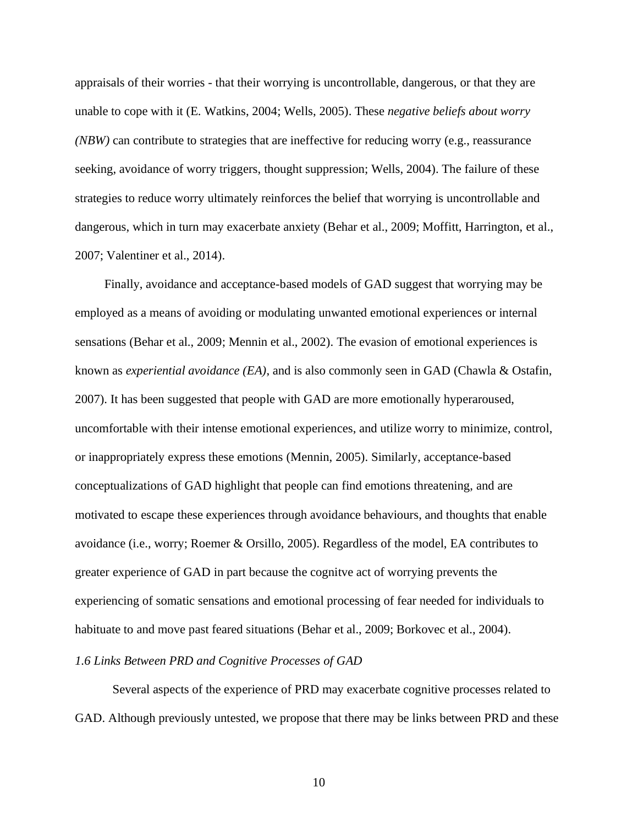appraisals of their worries - that their worrying is uncontrollable, dangerous, or that they are unable to cope with it (E. Watkins, 2004; Wells, 2005). These *negative beliefs about worry (NBW)* can contribute to strategies that are ineffective for reducing worry (e.g., reassurance seeking, avoidance of worry triggers, thought suppression; Wells, 2004). The failure of these strategies to reduce worry ultimately reinforces the belief that worrying is uncontrollable and dangerous, which in turn may exacerbate anxiety (Behar et al., 2009; Moffitt, Harrington, et al., 2007; Valentiner et al., 2014).

Finally, avoidance and acceptance-based models of GAD suggest that worrying may be employed as a means of avoiding or modulating unwanted emotional experiences or internal sensations (Behar et al., 2009; Mennin et al., 2002). The evasion of emotional experiences is known as *experiential avoidance (EA)*, and is also commonly seen in GAD (Chawla & Ostafin, 2007). It has been suggested that people with GAD are more emotionally hyperaroused, uncomfortable with their intense emotional experiences, and utilize worry to minimize, control, or inappropriately express these emotions (Mennin, 2005). Similarly, acceptance-based conceptualizations of GAD highlight that people can find emotions threatening, and are motivated to escape these experiences through avoidance behaviours, and thoughts that enable avoidance (i.e., worry; Roemer & Orsillo, 2005). Regardless of the model, EA contributes to greater experience of GAD in part because the cognitve act of worrying prevents the experiencing of somatic sensations and emotional processing of fear needed for individuals to habituate to and move past feared situations (Behar et al., 2009; Borkovec et al., 2004).

### <span id="page-15-0"></span>*1.6 Links Between PRD and Cognitive Processes of GAD*

Several aspects of the experience of PRD may exacerbate cognitive processes related to GAD. Although previously untested, we propose that there may be links between PRD and these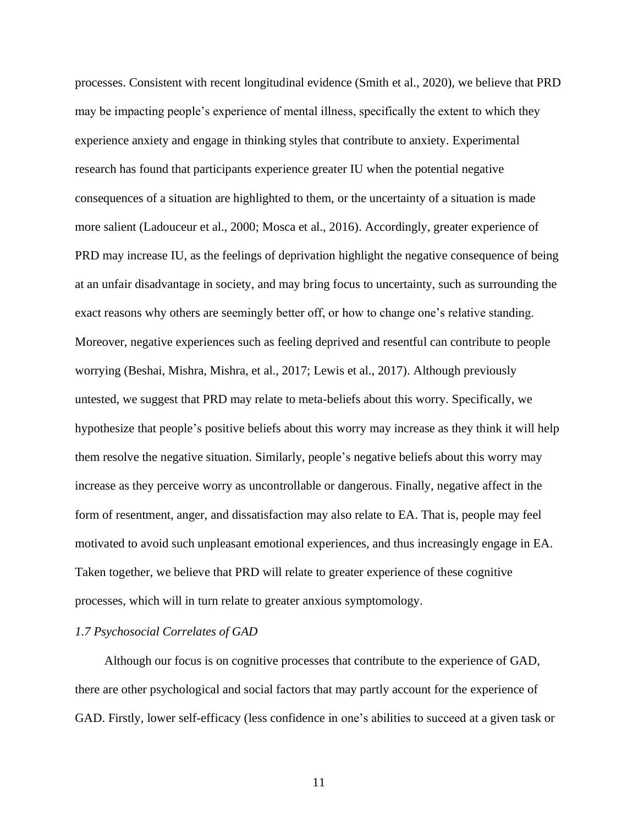processes. Consistent with recent longitudinal evidence (Smith et al., 2020), we believe that PRD may be impacting people's experience of mental illness, specifically the extent to which they experience anxiety and engage in thinking styles that contribute to anxiety. Experimental research has found that participants experience greater IU when the potential negative consequences of a situation are highlighted to them, or the uncertainty of a situation is made more salient (Ladouceur et al., 2000; Mosca et al., 2016). Accordingly, greater experience of PRD may increase IU, as the feelings of deprivation highlight the negative consequence of being at an unfair disadvantage in society, and may bring focus to uncertainty, such as surrounding the exact reasons why others are seemingly better off, or how to change one's relative standing. Moreover, negative experiences such as feeling deprived and resentful can contribute to people worrying (Beshai, Mishra, Mishra, et al., 2017; Lewis et al., 2017). Although previously untested, we suggest that PRD may relate to meta-beliefs about this worry. Specifically, we hypothesize that people's positive beliefs about this worry may increase as they think it will help them resolve the negative situation. Similarly, people's negative beliefs about this worry may increase as they perceive worry as uncontrollable or dangerous. Finally, negative affect in the form of resentment, anger, and dissatisfaction may also relate to EA. That is, people may feel motivated to avoid such unpleasant emotional experiences, and thus increasingly engage in EA. Taken together, we believe that PRD will relate to greater experience of these cognitive processes, which will in turn relate to greater anxious symptomology.

# <span id="page-16-0"></span>*1.7 Psychosocial Correlates of GAD*

Although our focus is on cognitive processes that contribute to the experience of GAD, there are other psychological and social factors that may partly account for the experience of GAD. Firstly, lower self-efficacy (less confidence in one's abilities to succeed at a given task or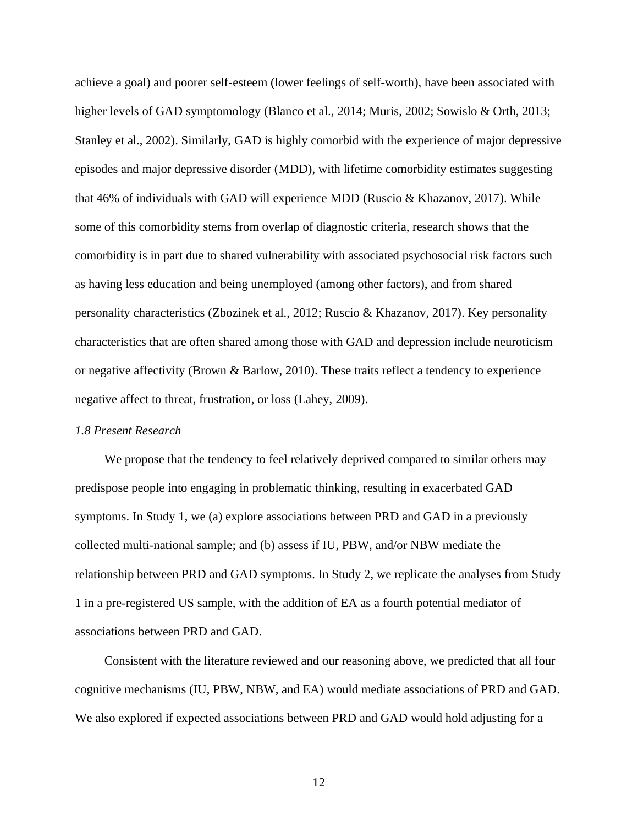achieve a goal) and poorer self-esteem (lower feelings of self-worth), have been associated with higher levels of GAD symptomology (Blanco et al., 2014; Muris, 2002; Sowislo & Orth, 2013; Stanley et al., 2002). Similarly, GAD is highly comorbid with the experience of major depressive episodes and major depressive disorder (MDD), with lifetime comorbidity estimates suggesting that 46% of individuals with GAD will experience MDD (Ruscio  $\&$  Khazanov, 2017). While some of this comorbidity stems from overlap of diagnostic criteria, research shows that the comorbidity is in part due to shared vulnerability with associated psychosocial risk factors such as having less education and being unemployed (among other factors), and from shared personality characteristics (Zbozinek et al., 2012; Ruscio & Khazanov, 2017). Key personality characteristics that are often shared among those with GAD and depression include neuroticism or negative affectivity (Brown & Barlow, 2010). These traits reflect a tendency to experience negative affect to threat, frustration, or loss (Lahey, 2009).

# <span id="page-17-0"></span>*1.8 Present Research*

We propose that the tendency to feel relatively deprived compared to similar others may predispose people into engaging in problematic thinking, resulting in exacerbated GAD symptoms. In Study 1, we (a) explore associations between PRD and GAD in a previously collected multi-national sample; and (b) assess if IU, PBW, and/or NBW mediate the relationship between PRD and GAD symptoms. In Study 2, we replicate the analyses from Study 1 in a pre-registered US sample, with the addition of EA as a fourth potential mediator of associations between PRD and GAD.

Consistent with the literature reviewed and our reasoning above, we predicted that all four cognitive mechanisms (IU, PBW, NBW, and EA) would mediate associations of PRD and GAD. We also explored if expected associations between PRD and GAD would hold adjusting for a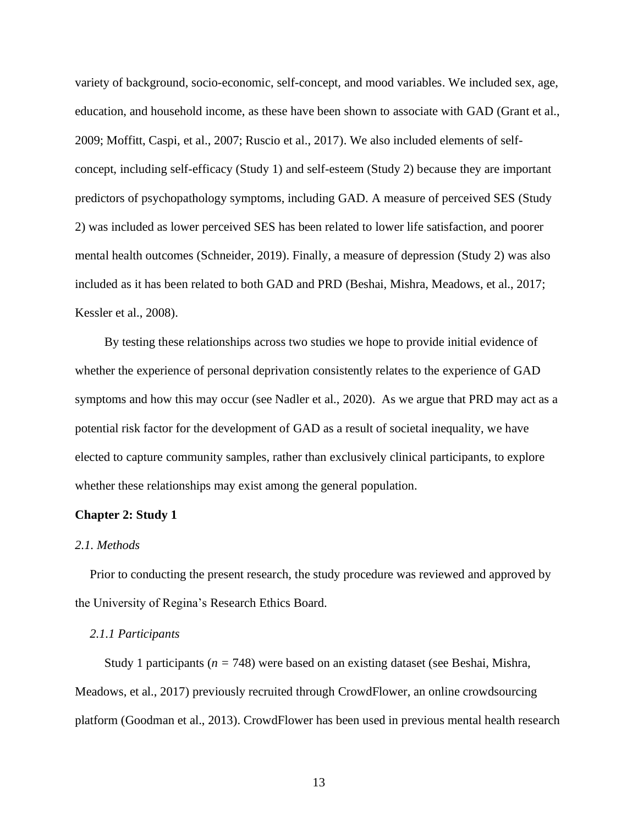variety of background, socio-economic, self-concept, and mood variables. We included sex, age, education, and household income, as these have been shown to associate with GAD (Grant et al., 2009; Moffitt, Caspi, et al., 2007; Ruscio et al., 2017). We also included elements of selfconcept, including self-efficacy (Study 1) and self-esteem (Study 2) because they are important predictors of psychopathology symptoms, including GAD. A measure of perceived SES (Study 2) was included as lower perceived SES has been related to lower life satisfaction, and poorer mental health outcomes (Schneider, 2019). Finally, a measure of depression (Study 2) was also included as it has been related to both GAD and PRD (Beshai, Mishra, Meadows, et al., 2017; Kessler et al., 2008).

By testing these relationships across two studies we hope to provide initial evidence of whether the experience of personal deprivation consistently relates to the experience of GAD symptoms and how this may occur (see Nadler et al., 2020). As we argue that PRD may act as a potential risk factor for the development of GAD as a result of societal inequality, we have elected to capture community samples, rather than exclusively clinical participants, to explore whether these relationships may exist among the general population.

#### <span id="page-18-0"></span>**Chapter 2: Study 1**

#### <span id="page-18-1"></span>*2.1. Methods*

Prior to conducting the present research, the study procedure was reviewed and approved by the University of Regina's Research Ethics Board.

### <span id="page-18-2"></span>*2.1.1 Participants*

Study 1 participants (*n =* 748) were based on an existing dataset (see Beshai, Mishra, Meadows, et al., 2017) previously recruited through CrowdFlower, an online crowdsourcing platform (Goodman et al., 2013). CrowdFlower has been used in previous mental health research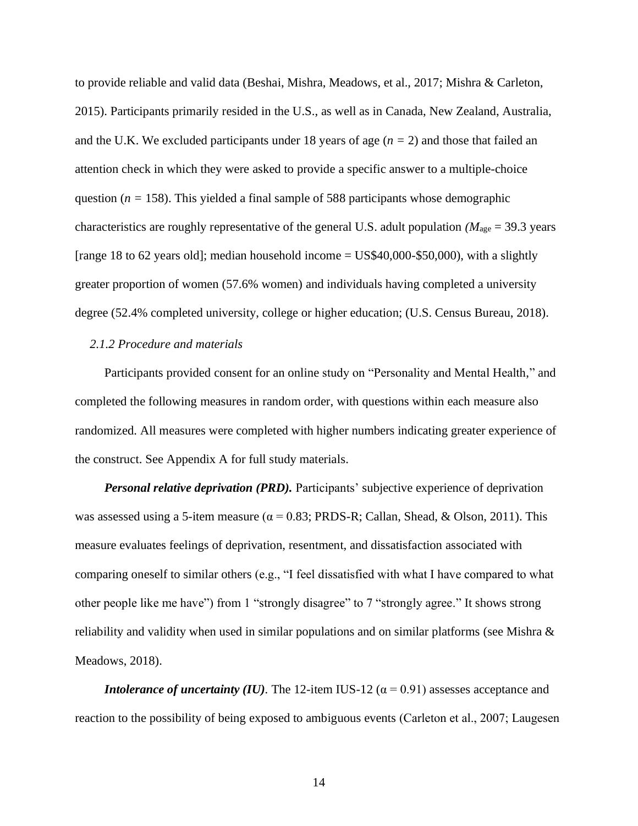to provide reliable and valid data (Beshai, Mishra, Meadows, et al., 2017; Mishra & Carleton, 2015). Participants primarily resided in the U.S., as well as in Canada, New Zealand, Australia, and the U.K. We excluded participants under 18 years of age (*n =* 2) and those that failed an attention check in which they were asked to provide a specific answer to a multiple-choice question ( $n = 158$ ). This yielded a final sample of 588 participants whose demographic characteristics are roughly representative of the general U.S. adult population *(M*<sub>age</sub> = 39.3 years [range 18 to 62 years old]; median household income  $=$  US\$40,000-\$50,000), with a slightly greater proportion of women (57.6% women) and individuals having completed a university degree (52.4% completed university, college or higher education; (U.S. Census Bureau, 2018).

### <span id="page-19-0"></span>*2.1.2 Procedure and materials*

Participants provided consent for an online study on "Personality and Mental Health," and completed the following measures in random order, with questions within each measure also randomized. All measures were completed with higher numbers indicating greater experience of the construct. See Appendix A for full study materials.

*Personal relative deprivation (PRD).* Participants' subjective experience of deprivation was assessed using a 5-item measure ( $\alpha = 0.83$ ; PRDS-R; Callan, Shead, & Olson, 2011). This measure evaluates feelings of deprivation, resentment, and dissatisfaction associated with comparing oneself to similar others (e.g., "I feel dissatisfied with what I have compared to what other people like me have") from 1 "strongly disagree" to 7 "strongly agree." It shows strong reliability and validity when used in similar populations and on similar platforms (see Mishra & Meadows, 2018).

*Intolerance of uncertainty (IU).* The 12-item IUS-12 ( $\alpha$  = 0.91) assesses acceptance and reaction to the possibility of being exposed to ambiguous events (Carleton et al., 2007; Laugesen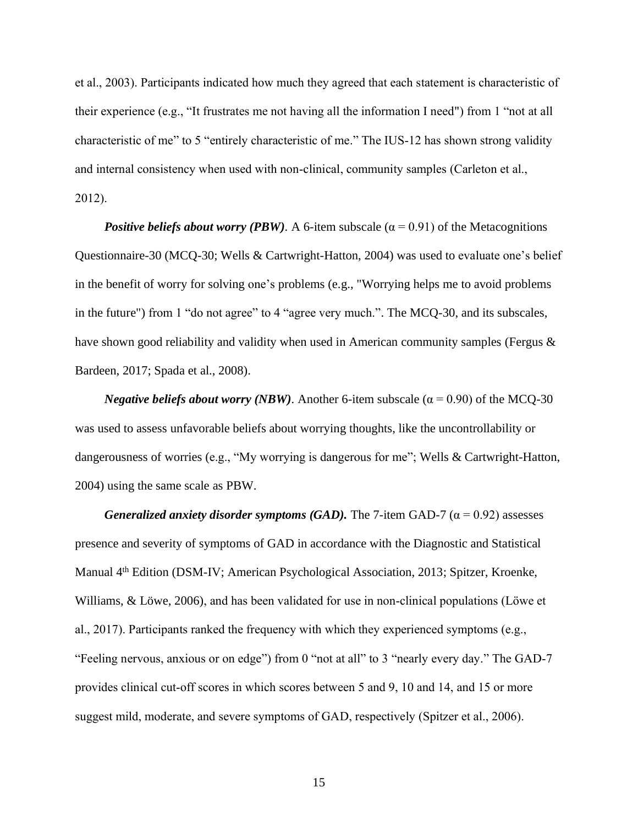et al., 2003). Participants indicated how much they agreed that each statement is characteristic of their experience (e.g., "It frustrates me not having all the information I need") from 1 "not at all characteristic of me" to 5 "entirely characteristic of me." The IUS-12 has shown strong validity and internal consistency when used with non-clinical, community samples (Carleton et al., 2012).

*Positive beliefs about worry (PBW).* A 6-item subscale ( $\alpha$  = 0.91) of the Metacognitions Questionnaire-30 (MCQ-30; Wells & Cartwright-Hatton, 2004) was used to evaluate one's belief in the benefit of worry for solving one's problems (e.g., "Worrying helps me to avoid problems in the future") from 1 "do not agree" to 4 "agree very much.". The MCQ-30, and its subscales, have shown good reliability and validity when used in American community samples (Fergus & Bardeen, 2017; Spada et al., 2008).

*Negative beliefs about worry (NBW).* Another 6-item subscale ( $\alpha$  = 0.90) of the MCQ-30 was used to assess unfavorable beliefs about worrying thoughts, like the uncontrollability or dangerousness of worries (e.g., "My worrying is dangerous for me"; Wells & Cartwright-Hatton, 2004) using the same scale as PBW.

*Generalized anxiety disorder symptoms (GAD).* The 7-item GAD-7 ( $\alpha$  = 0.92) assesses presence and severity of symptoms of GAD in accordance with the Diagnostic and Statistical Manual 4<sup>th</sup> Edition (DSM-IV; American Psychological Association, 2013; Spitzer, Kroenke, Williams, & Löwe, 2006), and has been validated for use in non-clinical populations (Löwe et al., 2017). Participants ranked the frequency with which they experienced symptoms (e.g., "Feeling nervous, anxious or on edge") from 0 "not at all" to 3 "nearly every day." The GAD-7 provides clinical cut-off scores in which scores between 5 and 9, 10 and 14, and 15 or more suggest mild, moderate, and severe symptoms of GAD, respectively (Spitzer et al., 2006).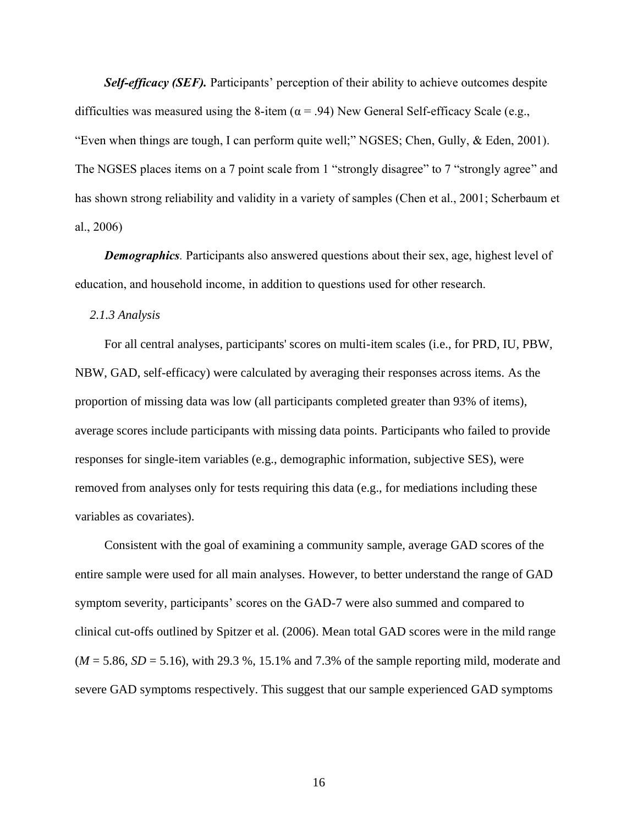*Self-efficacy (SEF)*. Participants' perception of their ability to achieve outcomes despite difficulties was measured using the 8-item ( $\alpha$  = .94) New General Self-efficacy Scale (e.g., "Even when things are tough, I can perform quite well;" NGSES; Chen, Gully, & Eden, 2001). The NGSES places items on a 7 point scale from 1 "strongly disagree" to 7 "strongly agree" and has shown strong reliability and validity in a variety of samples (Chen et al., 2001; Scherbaum et al., 2006)

*Demographics*. Participants also answered questions about their sex, age, highest level of education, and household income, in addition to questions used for other research.

<span id="page-21-0"></span>*2.1.3 Analysis*

For all central analyses, participants' scores on multi-item scales (i.e., for PRD, IU, PBW, NBW, GAD, self-efficacy) were calculated by averaging their responses across items. As the proportion of missing data was low (all participants completed greater than 93% of items), average scores include participants with missing data points. Participants who failed to provide responses for single-item variables (e.g., demographic information, subjective SES), were removed from analyses only for tests requiring this data (e.g., for mediations including these variables as covariates).

Consistent with the goal of examining a community sample, average GAD scores of the entire sample were used for all main analyses. However, to better understand the range of GAD symptom severity, participants' scores on the GAD-7 were also summed and compared to clinical cut-offs outlined by Spitzer et al. (2006). Mean total GAD scores were in the mild range  $(M = 5.86, SD = 5.16)$ , with 29.3 %, 15.1% and 7.3% of the sample reporting mild, moderate and severe GAD symptoms respectively. This suggest that our sample experienced GAD symptoms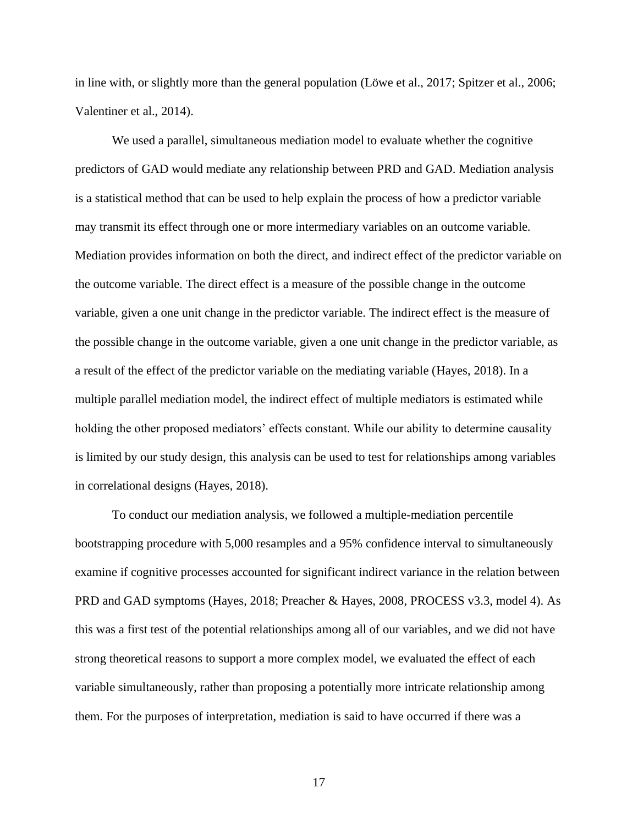in line with, or slightly more than the general population (Löwe et al., 2017; Spitzer et al., 2006; Valentiner et al., 2014).

We used a parallel, simultaneous mediation model to evaluate whether the cognitive predictors of GAD would mediate any relationship between PRD and GAD. Mediation analysis is a statistical method that can be used to help explain the process of how a predictor variable may transmit its effect through one or more intermediary variables on an outcome variable. Mediation provides information on both the direct, and indirect effect of the predictor variable on the outcome variable. The direct effect is a measure of the possible change in the outcome variable, given a one unit change in the predictor variable. The indirect effect is the measure of the possible change in the outcome variable, given a one unit change in the predictor variable, as a result of the effect of the predictor variable on the mediating variable (Hayes, 2018). In a multiple parallel mediation model, the indirect effect of multiple mediators is estimated while holding the other proposed mediators' effects constant. While our ability to determine causality is limited by our study design, this analysis can be used to test for relationships among variables in correlational designs (Hayes, 2018).

To conduct our mediation analysis, we followed a multiple-mediation percentile bootstrapping procedure with 5,000 resamples and a 95% confidence interval to simultaneously examine if cognitive processes accounted for significant indirect variance in the relation between PRD and GAD symptoms (Hayes, 2018; Preacher & Hayes, 2008, PROCESS v3.3, model 4). As this was a first test of the potential relationships among all of our variables, and we did not have strong theoretical reasons to support a more complex model, we evaluated the effect of each variable simultaneously, rather than proposing a potentially more intricate relationship among them. For the purposes of interpretation, mediation is said to have occurred if there was a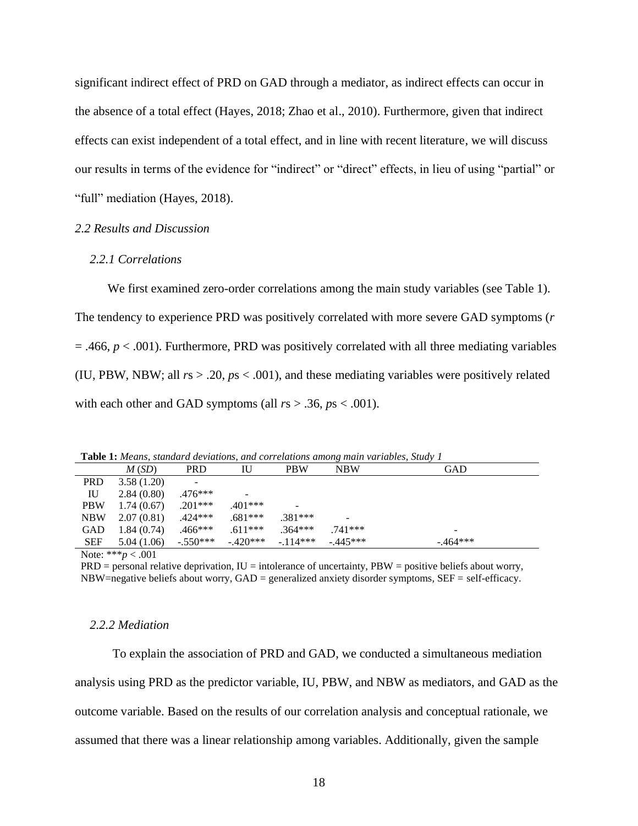significant indirect effect of PRD on GAD through a mediator, as indirect effects can occur in the absence of a total effect (Hayes, 2018; Zhao et al., 2010). Furthermore, given that indirect effects can exist independent of a total effect, and in line with recent literature, we will discuss our results in terms of the evidence for "indirect" or "direct" effects, in lieu of using "partial" or "full" mediation (Hayes, 2018).

#### <span id="page-23-0"></span>*2.2 Results and Discussion*

# <span id="page-23-1"></span>*2.2.1 Correlations*

We first examined zero-order correlations among the main study variables (see Table 1). The tendency to experience PRD was positively correlated with more severe GAD symptoms (*r*  $= .466$ ,  $p < .001$ ). Furthermore, PRD was positively correlated with all three mediating variables (IU, PBW, NBW; all  $rs > .20$ ,  $ps < .001$ ), and these mediating variables were positively related with each other and GAD symptoms (all  $rs > .36$ ,  $ps < .001$ ).

| <b>Table 1:</b> Means, standard deviations, and correlations among main variables, Study 1 |                                                                                                                                                                                                                                                                                                                                    |            |           |            |                 |           |
|--------------------------------------------------------------------------------------------|------------------------------------------------------------------------------------------------------------------------------------------------------------------------------------------------------------------------------------------------------------------------------------------------------------------------------------|------------|-----------|------------|-----------------|-----------|
|                                                                                            | M(SD)                                                                                                                                                                                                                                                                                                                              | <b>PRD</b> | IU        | <b>PBW</b> | NBW             | GAD       |
| <b>PRD</b>                                                                                 | 3.58(1.20)                                                                                                                                                                                                                                                                                                                         |            |           |            |                 |           |
| IU                                                                                         | 2.84(0.80)                                                                                                                                                                                                                                                                                                                         | $.476***$  |           |            |                 |           |
| <b>PBW</b>                                                                                 | 1.74(0.67)                                                                                                                                                                                                                                                                                                                         | $.201***$  | $.401***$ | -          |                 |           |
| <b>NBW</b>                                                                                 | 2.07(0.81)                                                                                                                                                                                                                                                                                                                         | $.424***$  | $.681***$ | $.381***$  | $\qquad \qquad$ |           |
| GAD                                                                                        | 1.84(0.74)                                                                                                                                                                                                                                                                                                                         | $.466***$  | $.611***$ | $.364***$  | .741***         |           |
| <b>SEF</b>                                                                                 | 5.04(1.06)                                                                                                                                                                                                                                                                                                                         | $-.550***$ | $-420***$ | $-.114***$ | $-0.445***$     | $-464***$ |
|                                                                                            | $\mathbf{A}$ $\mathbf{A}$ $\mathbf{A}$ $\mathbf{A}$ $\mathbf{A}$ $\mathbf{A}$ $\mathbf{A}$ $\mathbf{A}$ $\mathbf{A}$ $\mathbf{A}$ $\mathbf{A}$ $\mathbf{A}$ $\mathbf{A}$ $\mathbf{A}$ $\mathbf{A}$ $\mathbf{A}$ $\mathbf{A}$ $\mathbf{A}$ $\mathbf{A}$ $\mathbf{A}$ $\mathbf{A}$ $\mathbf{A}$ $\mathbf{A}$ $\mathbf{A}$ $\mathbf{$ |            |           |            |                 |           |

Note: \*\*\**p* < .001

 $PRD =$  personal relative deprivation,  $IU =$  intolerance of uncertainty,  $PBW =$  positive beliefs about worry,  $NBW=negative$  beliefs about worry,  $GAD =$  generalized anxiety disorder symptoms,  $SEF = self\text{-efficacy}$ .

#### <span id="page-23-2"></span>*2.2.2 Mediation*

To explain the association of PRD and GAD, we conducted a simultaneous mediation analysis using PRD as the predictor variable, IU, PBW, and NBW as mediators, and GAD as the outcome variable. Based on the results of our correlation analysis and conceptual rationale, we assumed that there was a linear relationship among variables. Additionally, given the sample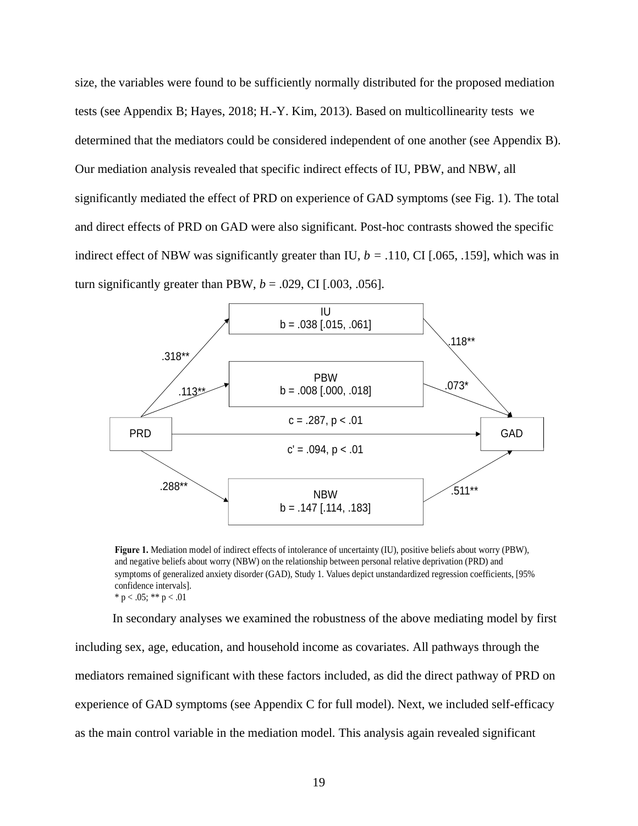size, the variables were found to be sufficiently normally distributed for the proposed mediation tests (see Appendix B; Hayes, 2018; H.-Y. Kim, 2013). Based on multicollinearity tests we determined that the mediators could be considered independent of one another (see Appendix B). Our mediation analysis revealed that specific indirect effects of IU, PBW, and NBW, all significantly mediated the effect of PRD on experience of GAD symptoms (see Fig. 1). The total and direct effects of PRD on GAD were also significant. Post-hoc contrasts showed the specific indirect effect of NBW was significantly greater than IU,  $b = .110$ , CI [.065, .159], which was in turn significantly greater than PBW,  $b = .029$ , CI [.003, .056].



**Figure 1.** Mediation model of indirect effects of intolerance of uncertainty (IU), positive beliefs about worry (PBW), and negative beliefs about worry (NBW) on the relationship between personal relative deprivation (PRD) and symptoms of generalized anxiety disorder (GAD), Study 1. Values depict unstandardized regression coefficients, [95% confidence intervals]. \* p < .05; \*\* p < .01

In secondary analyses we examined the robustness of the above mediating model by first including sex, age, education, and household income as covariates. All pathways through the mediators remained significant with these factors included, as did the direct pathway of PRD on experience of GAD symptoms (see Appendix C for full model). Next, we included self-efficacy as the main control variable in the mediation model. This analysis again revealed significant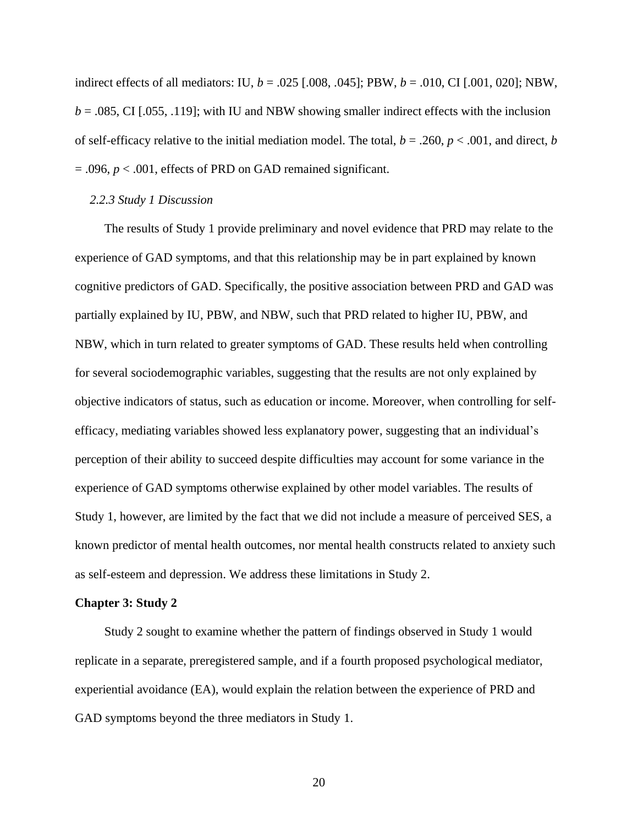indirect effects of all mediators: IU, *b* = .025 [.008, .045]; PBW, *b* = .010, CI [.001, 020]; NBW,  $b = 0.085$ , CI [.055, .119]; with IU and NBW showing smaller indirect effects with the inclusion of self-efficacy relative to the initial mediation model. The total,  $b = .260$ ,  $p < .001$ , and direct, *b* = .096, *p* < .001, effects of PRD on GAD remained significant.

# <span id="page-25-0"></span>*2.2.3 Study 1 Discussion*

The results of Study 1 provide preliminary and novel evidence that PRD may relate to the experience of GAD symptoms, and that this relationship may be in part explained by known cognitive predictors of GAD. Specifically, the positive association between PRD and GAD was partially explained by IU, PBW, and NBW, such that PRD related to higher IU, PBW, and NBW, which in turn related to greater symptoms of GAD. These results held when controlling for several sociodemographic variables, suggesting that the results are not only explained by objective indicators of status, such as education or income. Moreover, when controlling for selfefficacy, mediating variables showed less explanatory power, suggesting that an individual's perception of their ability to succeed despite difficulties may account for some variance in the experience of GAD symptoms otherwise explained by other model variables. The results of Study 1, however, are limited by the fact that we did not include a measure of perceived SES, a known predictor of mental health outcomes, nor mental health constructs related to anxiety such as self-esteem and depression. We address these limitations in Study 2.

#### <span id="page-25-1"></span>**Chapter 3: Study 2**

Study 2 sought to examine whether the pattern of findings observed in Study 1 would replicate in a separate, preregistered sample, and if a fourth proposed psychological mediator, experiential avoidance (EA), would explain the relation between the experience of PRD and GAD symptoms beyond the three mediators in Study 1.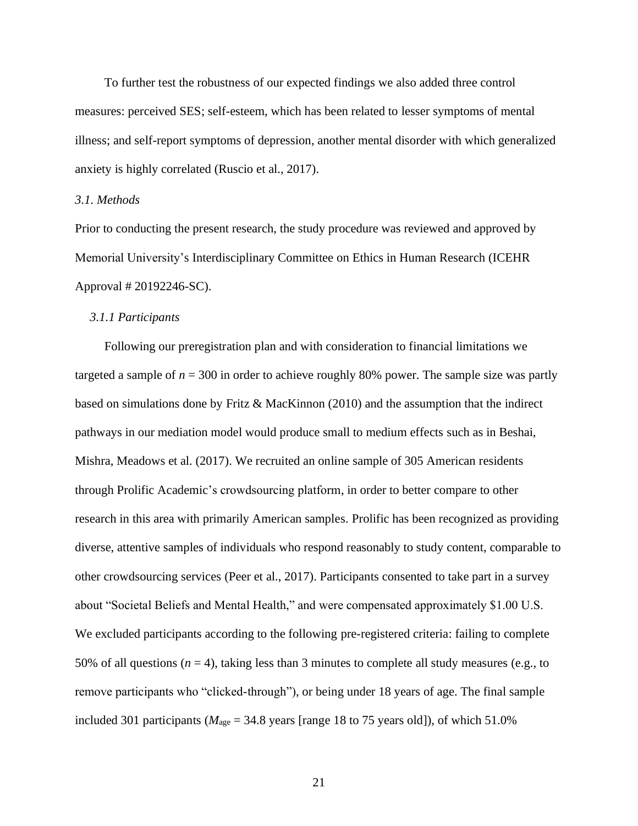To further test the robustness of our expected findings we also added three control measures: perceived SES; self-esteem, which has been related to lesser symptoms of mental illness; and self-report symptoms of depression, another mental disorder with which generalized anxiety is highly correlated (Ruscio et al., 2017).

# <span id="page-26-0"></span>*3.1. Methods*

Prior to conducting the present research, the study procedure was reviewed and approved by Memorial University's Interdisciplinary Committee on Ethics in Human Research (ICEHR Approval # 20192246-SC).

#### <span id="page-26-1"></span>*3.1.1 Participants*

Following our preregistration plan and with consideration to financial limitations we targeted a sample of  $n = 300$  in order to achieve roughly 80% power. The sample size was partly based on simulations done by Fritz & MacKinnon (2010) and the assumption that the indirect pathways in our mediation model would produce small to medium effects such as in Beshai, Mishra, Meadows et al. (2017). We recruited an online sample of 305 American residents through Prolific Academic's crowdsourcing platform, in order to better compare to other research in this area with primarily American samples. Prolific has been recognized as providing diverse, attentive samples of individuals who respond reasonably to study content, comparable to other crowdsourcing services (Peer et al., 2017). Participants consented to take part in a survey about "Societal Beliefs and Mental Health," and were compensated approximately \$1.00 U.S. We excluded participants according to the following pre-registered criteria: failing to complete 50% of all questions ( $n = 4$ ), taking less than 3 minutes to complete all study measures (e.g., to remove participants who "clicked-through"), or being under 18 years of age. The final sample included 301 participants ( $M<sub>age</sub> = 34.8$  years [range 18 to 75 years old]), of which 51.0%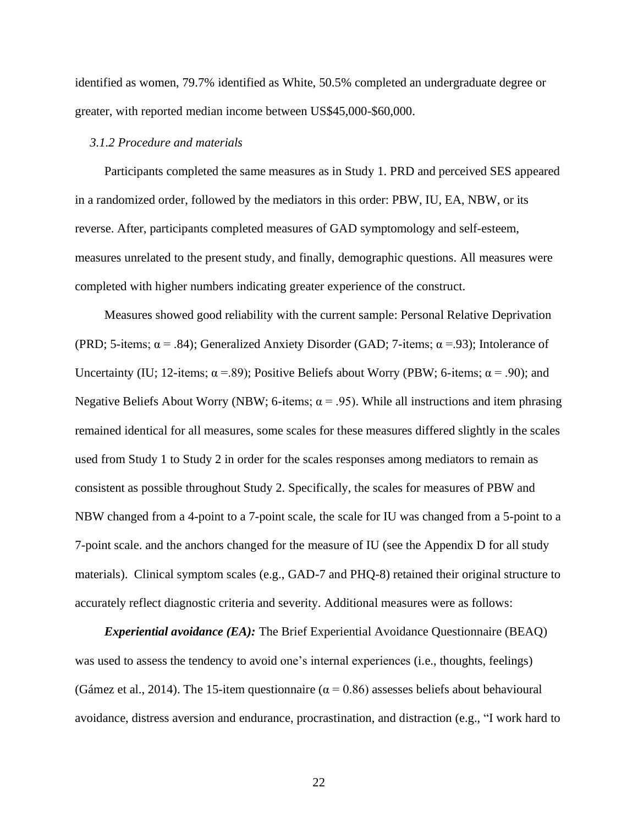identified as women, 79.7% identified as White, 50.5% completed an undergraduate degree or greater, with reported median income between US\$45,000-\$60,000.

### <span id="page-27-0"></span>*3.1.2 Procedure and materials*

Participants completed the same measures as in Study 1. PRD and perceived SES appeared in a randomized order, followed by the mediators in this order: PBW, IU, EA, NBW, or its reverse. After, participants completed measures of GAD symptomology and self-esteem, measures unrelated to the present study, and finally, demographic questions. All measures were completed with higher numbers indicating greater experience of the construct.

Measures showed good reliability with the current sample: Personal Relative Deprivation (PRD; 5-items;  $\alpha$  = .84); Generalized Anxiety Disorder (GAD; 7-items;  $\alpha$  = .93); Intolerance of Uncertainty (IU; 12-items;  $\alpha$  = .89); Positive Beliefs about Worry (PBW; 6-items;  $\alpha$  = .90); and Negative Beliefs About Worry (NBW; 6-items;  $\alpha$  = .95). While all instructions and item phrasing remained identical for all measures, some scales for these measures differed slightly in the scales used from Study 1 to Study 2 in order for the scales responses among mediators to remain as consistent as possible throughout Study 2. Specifically, the scales for measures of PBW and NBW changed from a 4-point to a 7-point scale, the scale for IU was changed from a 5-point to a 7-point scale. and the anchors changed for the measure of IU (see the Appendix D for all study materials). Clinical symptom scales (e.g., GAD-7 and PHQ-8) retained their original structure to accurately reflect diagnostic criteria and severity. Additional measures were as follows:

*Experiential avoidance (EA):* The Brief Experiential Avoidance Questionnaire (BEAQ) was used to assess the tendency to avoid one's internal experiences (i.e., thoughts, feelings) (Gámez et al., 2014). The 15-item questionnaire ( $\alpha$  = 0.86) assesses beliefs about behavioural avoidance, distress aversion and endurance, procrastination, and distraction (e.g., "I work hard to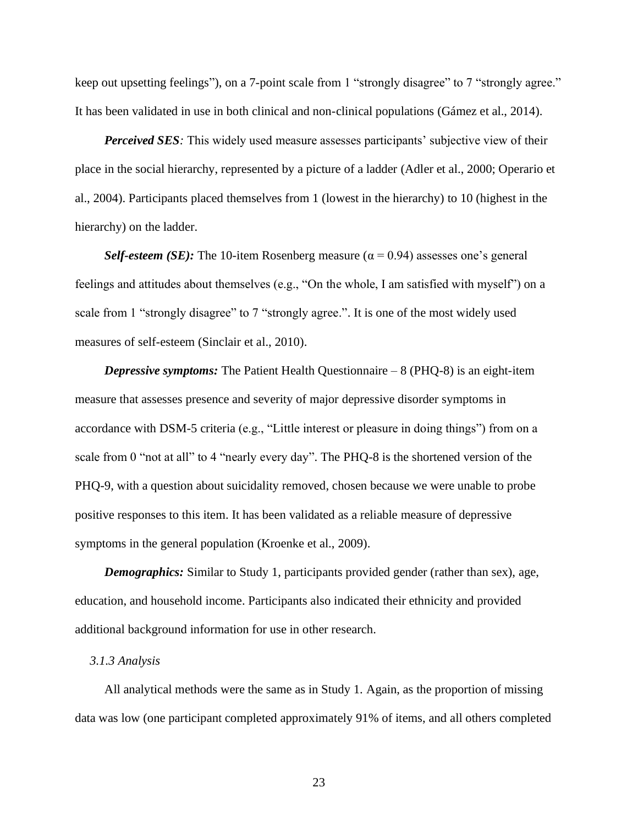keep out upsetting feelings"), on a 7-point scale from 1 "strongly disagree" to 7 "strongly agree." It has been validated in use in both clinical and non-clinical populations (Gámez et al., 2014).

*Perceived SES:* This widely used measure assesses participants' subjective view of their place in the social hierarchy, represented by a picture of a ladder (Adler et al., 2000; Operario et al., 2004). Participants placed themselves from 1 (lowest in the hierarchy) to 10 (highest in the hierarchy) on the ladder.

*Self-esteem (SE):* The 10-item Rosenberg measure ( $\alpha$  = 0.94) assesses one's general feelings and attitudes about themselves (e.g., "On the whole, I am satisfied with myself") on a scale from 1 "strongly disagree" to 7 "strongly agree.". It is one of the most widely used measures of self-esteem (Sinclair et al., 2010).

*Depressive symptoms:* The Patient Health Questionnaire – 8 (PHQ-8) is an eight-item measure that assesses presence and severity of major depressive disorder symptoms in accordance with DSM-5 criteria (e.g., "Little interest or pleasure in doing things") from on a scale from 0 "not at all" to 4 "nearly every day". The PHQ-8 is the shortened version of the PHQ-9, with a question about suicidality removed, chosen because we were unable to probe positive responses to this item. It has been validated as a reliable measure of depressive symptoms in the general population (Kroenke et al., 2009).

*Demographics:* Similar to Study 1, participants provided gender (rather than sex), age, education, and household income. Participants also indicated their ethnicity and provided additional background information for use in other research.

#### <span id="page-28-0"></span>*3.1.3 Analysis*

All analytical methods were the same as in Study 1. Again, as the proportion of missing data was low (one participant completed approximately 91% of items, and all others completed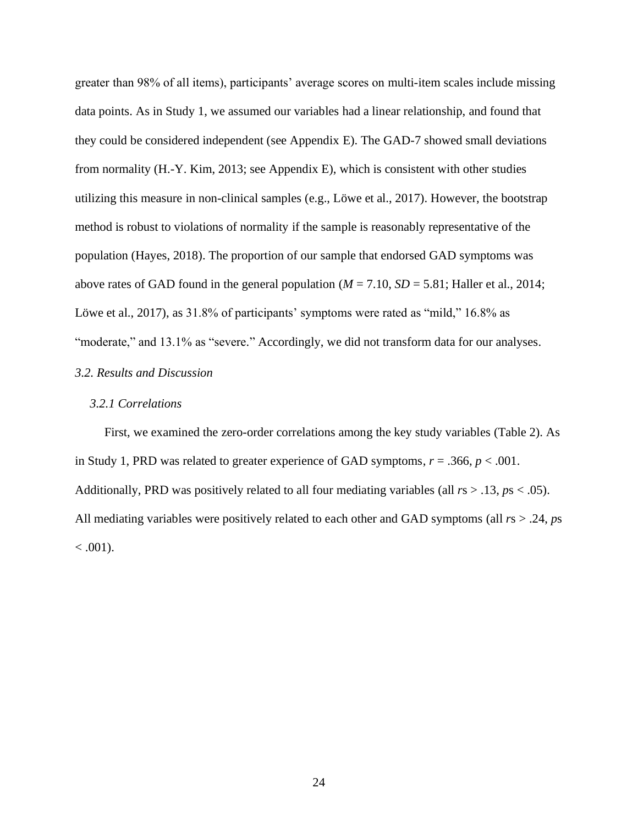greater than 98% of all items), participants' average scores on multi-item scales include missing data points. As in Study 1, we assumed our variables had a linear relationship, and found that they could be considered independent (see Appendix E). The GAD-7 showed small deviations from normality (H.-Y. Kim, 2013; see Appendix E), which is consistent with other studies utilizing this measure in non-clinical samples (e.g., Löwe et al., 2017). However, the bootstrap method is robust to violations of normality if the sample is reasonably representative of the population (Hayes, 2018). The proportion of our sample that endorsed GAD symptoms was above rates of GAD found in the general population  $(M = 7.10, SD = 5.81$ ; Haller et al., 2014; Löwe et al., 2017), as 31.8% of participants' symptoms were rated as "mild," 16.8% as "moderate," and 13.1% as "severe." Accordingly, we did not transform data for our analyses.

# <span id="page-29-0"></span>*3.2. Results and Discussion*

# <span id="page-29-1"></span>*3.2.1 Correlations*

First, we examined the zero-order correlations among the key study variables (Table 2). As in Study 1, PRD was related to greater experience of GAD symptoms,  $r = .366$ ,  $p < .001$ . Additionally, PRD was positively related to all four mediating variables (all *r*s > .13, *p*s < .05). All mediating variables were positively related to each other and GAD symptoms (all *r*s > .24, *p*s  $< .001$ ).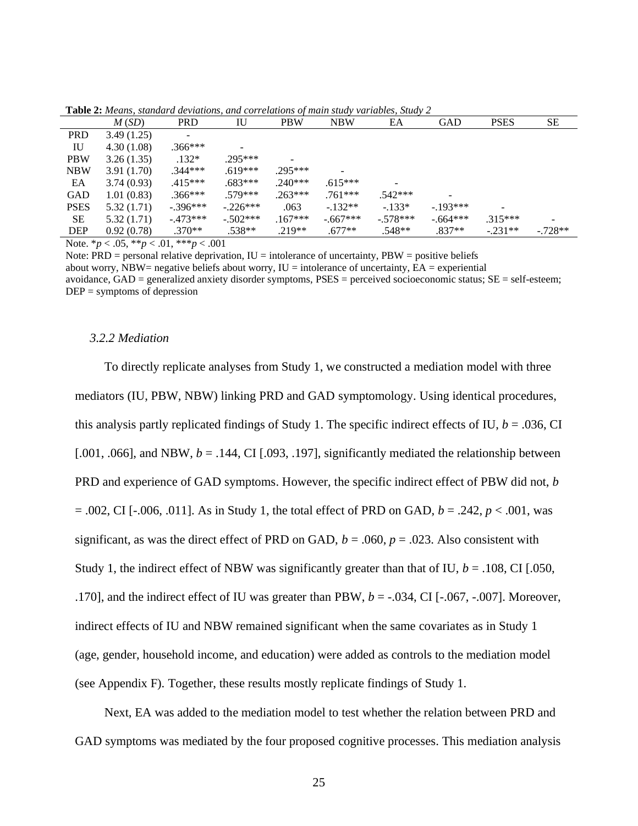|             | $\sim$ where $\sim$ is the complete $\alpha$ are retained by and correctional of means binds from the rest, stated for |                          |            |            |            |            |            |             |           |
|-------------|------------------------------------------------------------------------------------------------------------------------|--------------------------|------------|------------|------------|------------|------------|-------------|-----------|
|             | M(SD)                                                                                                                  | <b>PRD</b>               | IU         | <b>PBW</b> | <b>NBW</b> | EA         | <b>GAD</b> | <b>PSES</b> | SE        |
| <b>PRD</b>  | 3.49(1.25)                                                                                                             | $\overline{\phantom{a}}$ |            |            |            |            |            |             |           |
| IU          | 4.30(1.08)                                                                                                             | $.366***$                |            |            |            |            |            |             |           |
| <b>PBW</b>  | 3.26(1.35)                                                                                                             | $.132*$                  | $.295***$  |            |            |            |            |             |           |
| <b>NBW</b>  | 3.91(1.70)                                                                                                             | $.344***$                | $.619***$  | $.295***$  |            |            |            |             |           |
| EA          | 3.74(0.93)                                                                                                             | $.415***$                | $.683***$  | $.240***$  | $.615***$  |            |            |             |           |
| GAD         | 1.01(0.83)                                                                                                             | $.366***$                | $.579***$  | $.263***$  | $.761***$  | $.542***$  | -          |             |           |
| <b>PSES</b> | 5.32(1.71)                                                                                                             | $-.396***$               | $-.226***$ | .063       | $-132**$   | $-133*$    | $-193***$  |             |           |
| <b>SE</b>   | 5.32(1.71)                                                                                                             | $-473***$                | $-.502***$ | $.167***$  | $-667***$  | $-.578***$ | $-664***$  | $.315***$   |           |
| <b>DEP</b>  | 0.92(0.78)                                                                                                             | $.370**$                 | $.538**$   | $.219**$   | $.677**$   | $.548**$   | $.837**$   | $-.231**$   | $-.728**$ |

**Table 2:** *Means, standard deviations, and correlations of main study variables, Study 2*

Note. \**p* < .05, \*\**p* < .01, \*\*\**p* < .001

Note:  $PRD$  = personal relative deprivation,  $IU$  = intolerance of uncertainty,  $PBW$  = positive beliefs about worry, NBW= negative beliefs about worry,  $IU =$  intolerance of uncertainty,  $EA =$  experiential avoidance,  $GAD =$  generalized anxiety disorder symptoms,  $PSES =$  perceived socioeconomic status;  $SE =$  self-esteem;  $DEF = symptoms of depression$ 

#### <span id="page-30-0"></span>*3.2.2 Mediation*

To directly replicate analyses from Study 1, we constructed a mediation model with three mediators (IU, PBW, NBW) linking PRD and GAD symptomology. Using identical procedures, this analysis partly replicated findings of Study 1. The specific indirect effects of IU,  $b = .036$ , CI [.001, .066], and NBW,  $b = .144$ , CI [.093, .197], significantly mediated the relationship between PRD and experience of GAD symptoms. However, the specific indirect effect of PBW did not, *b* = .002, CI [-.006, .011]. As in Study 1, the total effect of PRD on GAD, *b* = .242, *p* < .001, was significant, as was the direct effect of PRD on GAD,  $b = .060$ ,  $p = .023$ . Also consistent with Study 1, the indirect effect of NBW was significantly greater than that of IU,  $b = .108$ , CI [.050, .170], and the indirect effect of IU was greater than PBW, *b* = -.034, CI [-.067, -.007]. Moreover, indirect effects of IU and NBW remained significant when the same covariates as in Study 1 (age, gender, household income, and education) were added as controls to the mediation model (see Appendix F). Together, these results mostly replicate findings of Study 1.

Next, EA was added to the mediation model to test whether the relation between PRD and GAD symptoms was mediated by the four proposed cognitive processes. This mediation analysis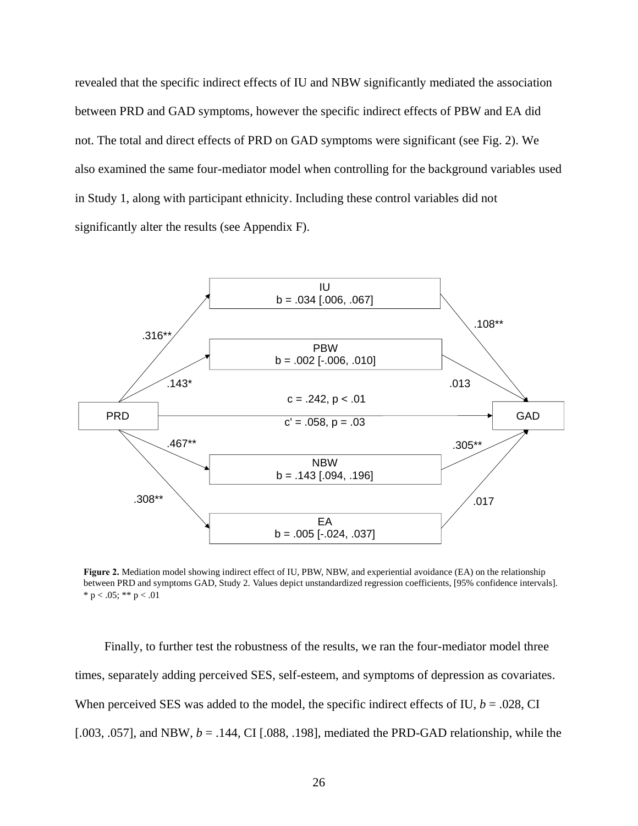revealed that the specific indirect effects of IU and NBW significantly mediated the association between PRD and GAD symptoms, however the specific indirect effects of PBW and EA did not. The total and direct effects of PRD on GAD symptoms were significant (see Fig. 2). We also examined the same four-mediator model when controlling for the background variables used in Study 1, along with participant ethnicity. Including these control variables did not significantly alter the results (see Appendix F).



**Figure 2.** Mediation model showing indirect effect of IU, PBW, NBW, and experiential avoidance (EA) on the relationship between PRD and symptoms GAD, Study 2. Values depict unstandardized regression coefficients, [95% confidence intervals].  $*$  p < .05;  $*$  p < .01

Finally, to further test the robustness of the results, we ran the four-mediator model three times, separately adding perceived SES, self-esteem, and symptoms of depression as covariates. When perceived SES was added to the model, the specific indirect effects of IU,  $b = .028$ , CI [.003, .057], and NBW,  $b = .144$ , CI [.088, .198], mediated the PRD-GAD relationship, while the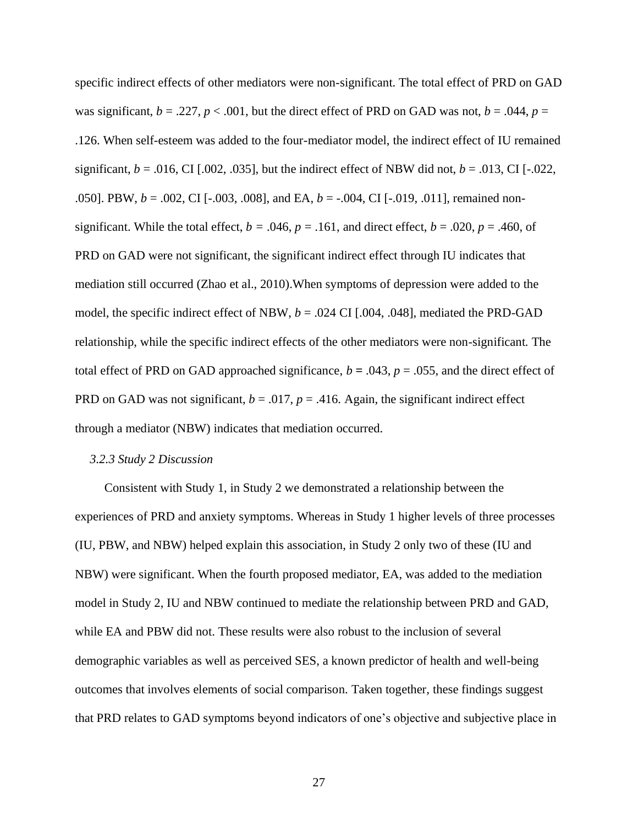specific indirect effects of other mediators were non-significant. The total effect of PRD on GAD was significant,  $b = .227$ ,  $p < .001$ , but the direct effect of PRD on GAD was not,  $b = .044$ ,  $p =$ .126. When self-esteem was added to the four-mediator model, the indirect effect of IU remained significant,  $b = .016$ , CI [.002, .035], but the indirect effect of NBW did not,  $b = .013$ , CI [-.022, .050]. PBW, *b* = .002, CI [-.003, .008], and EA, *b* = -.004, CI [-.019, .011], remained nonsignificant. While the total effect,  $b = .046$ ,  $p = .161$ , and direct effect,  $b = .020$ ,  $p = .460$ , of PRD on GAD were not significant, the significant indirect effect through IU indicates that mediation still occurred (Zhao et al., 2010).When symptoms of depression were added to the model, the specific indirect effect of NBW,  $b = .024$  CI [.004, .048], mediated the PRD-GAD relationship, while the specific indirect effects of the other mediators were non-significant*.* The total effect of PRD on GAD approached significance,  $b = .043$ ,  $p = .055$ , and the direct effect of PRD on GAD was not significant,  $b = .017$ ,  $p = .416$ . Again, the significant indirect effect through a mediator (NBW) indicates that mediation occurred.

# <span id="page-32-0"></span>*3.2.3 Study 2 Discussion*

Consistent with Study 1, in Study 2 we demonstrated a relationship between the experiences of PRD and anxiety symptoms. Whereas in Study 1 higher levels of three processes (IU, PBW, and NBW) helped explain this association, in Study 2 only two of these (IU and NBW) were significant. When the fourth proposed mediator, EA, was added to the mediation model in Study 2, IU and NBW continued to mediate the relationship between PRD and GAD, while EA and PBW did not. These results were also robust to the inclusion of several demographic variables as well as perceived SES, a known predictor of health and well-being outcomes that involves elements of social comparison. Taken together, these findings suggest that PRD relates to GAD symptoms beyond indicators of one's objective and subjective place in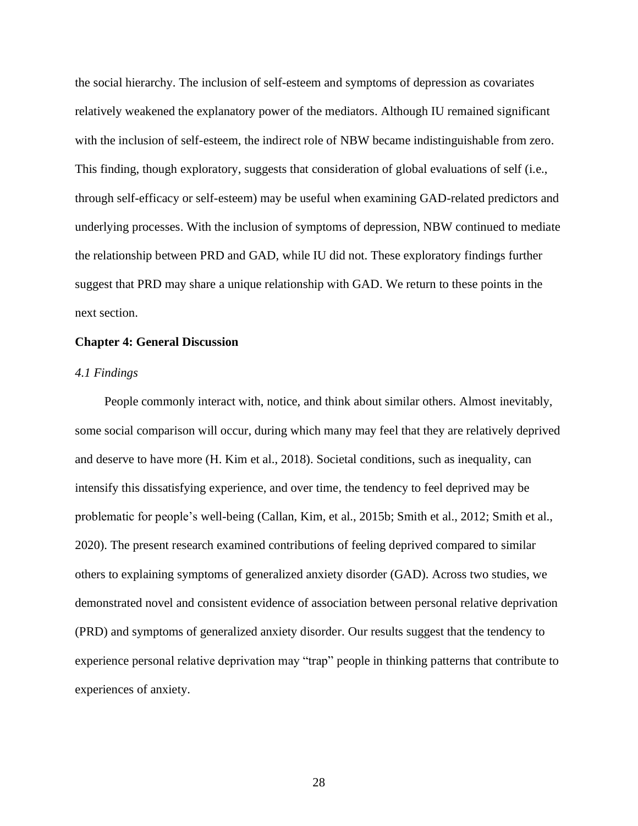the social hierarchy. The inclusion of self-esteem and symptoms of depression as covariates relatively weakened the explanatory power of the mediators. Although IU remained significant with the inclusion of self-esteem, the indirect role of NBW became indistinguishable from zero. This finding, though exploratory, suggests that consideration of global evaluations of self (i.e., through self-efficacy or self-esteem) may be useful when examining GAD-related predictors and underlying processes. With the inclusion of symptoms of depression, NBW continued to mediate the relationship between PRD and GAD, while IU did not. These exploratory findings further suggest that PRD may share a unique relationship with GAD. We return to these points in the next section.

# <span id="page-33-0"></span>**Chapter 4: General Discussion**

# <span id="page-33-1"></span>*4.1 Findings*

People commonly interact with, notice, and think about similar others. Almost inevitably, some social comparison will occur, during which many may feel that they are relatively deprived and deserve to have more (H. Kim et al., 2018). Societal conditions, such as inequality, can intensify this dissatisfying experience, and over time, the tendency to feel deprived may be problematic for people's well-being (Callan, Kim, et al., 2015b; Smith et al., 2012; Smith et al., 2020). The present research examined contributions of feeling deprived compared to similar others to explaining symptoms of generalized anxiety disorder (GAD). Across two studies, we demonstrated novel and consistent evidence of association between personal relative deprivation (PRD) and symptoms of generalized anxiety disorder. Our results suggest that the tendency to experience personal relative deprivation may "trap" people in thinking patterns that contribute to experiences of anxiety.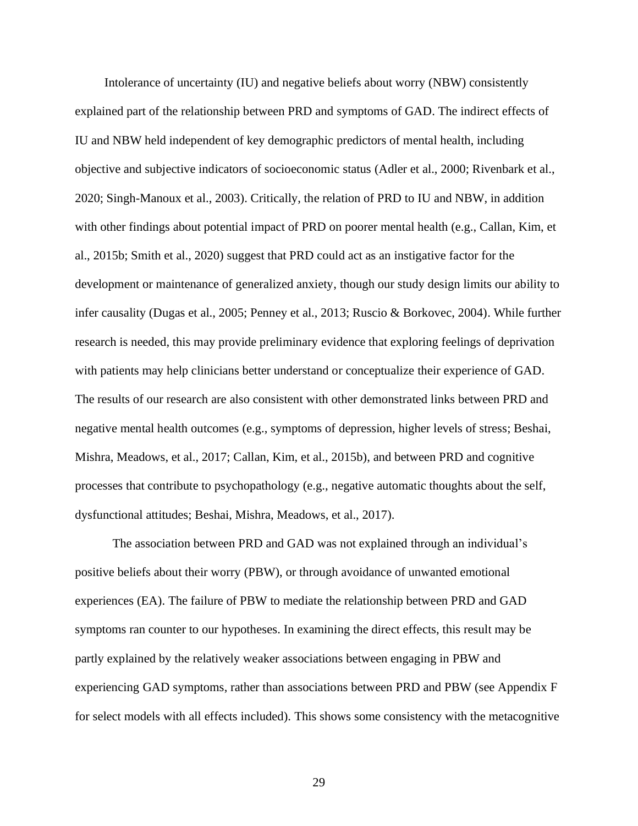Intolerance of uncertainty (IU) and negative beliefs about worry (NBW) consistently explained part of the relationship between PRD and symptoms of GAD. The indirect effects of IU and NBW held independent of key demographic predictors of mental health, including objective and subjective indicators of socioeconomic status (Adler et al., 2000; Rivenbark et al., 2020; Singh-Manoux et al., 2003). Critically, the relation of PRD to IU and NBW, in addition with other findings about potential impact of PRD on poorer mental health (e.g., Callan, Kim, et al., 2015b; Smith et al., 2020) suggest that PRD could act as an instigative factor for the development or maintenance of generalized anxiety, though our study design limits our ability to infer causality (Dugas et al., 2005; Penney et al., 2013; Ruscio & Borkovec, 2004). While further research is needed, this may provide preliminary evidence that exploring feelings of deprivation with patients may help clinicians better understand or conceptualize their experience of GAD. The results of our research are also consistent with other demonstrated links between PRD and negative mental health outcomes (e.g., symptoms of depression, higher levels of stress; Beshai, Mishra, Meadows, et al., 2017; Callan, Kim, et al., 2015b), and between PRD and cognitive processes that contribute to psychopathology (e.g., negative automatic thoughts about the self, dysfunctional attitudes; Beshai, Mishra, Meadows, et al., 2017).

The association between PRD and GAD was not explained through an individual's positive beliefs about their worry (PBW), or through avoidance of unwanted emotional experiences (EA). The failure of PBW to mediate the relationship between PRD and GAD symptoms ran counter to our hypotheses. In examining the direct effects, this result may be partly explained by the relatively weaker associations between engaging in PBW and experiencing GAD symptoms, rather than associations between PRD and PBW (see Appendix F for select models with all effects included). This shows some consistency with the metacognitive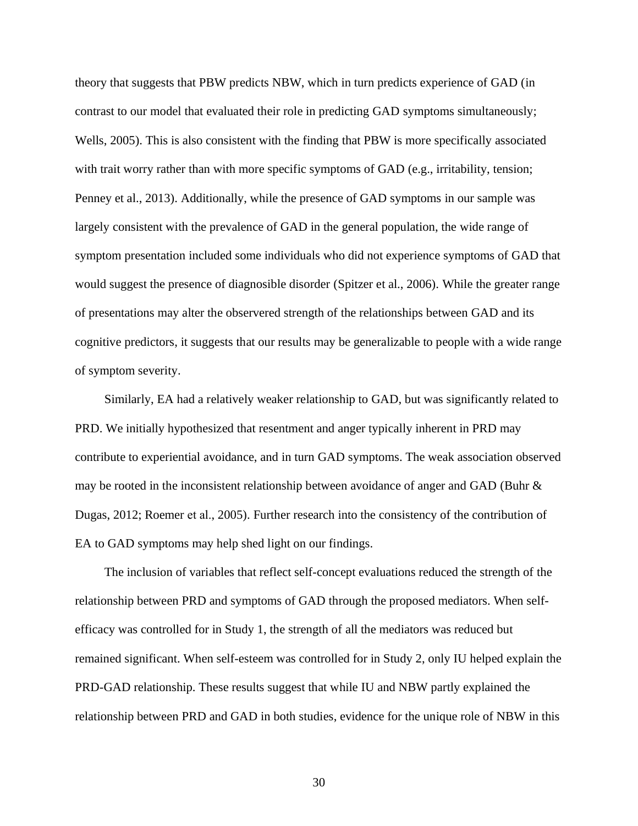theory that suggests that PBW predicts NBW, which in turn predicts experience of GAD (in contrast to our model that evaluated their role in predicting GAD symptoms simultaneously; Wells, 2005). This is also consistent with the finding that PBW is more specifically associated with trait worry rather than with more specific symptoms of GAD (e.g., irritability, tension; Penney et al., 2013). Additionally, while the presence of GAD symptoms in our sample was largely consistent with the prevalence of GAD in the general population, the wide range of symptom presentation included some individuals who did not experience symptoms of GAD that would suggest the presence of diagnosible disorder (Spitzer et al., 2006). While the greater range of presentations may alter the observered strength of the relationships between GAD and its cognitive predictors, it suggests that our results may be generalizable to people with a wide range of symptom severity.

Similarly, EA had a relatively weaker relationship to GAD, but was significantly related to PRD. We initially hypothesized that resentment and anger typically inherent in PRD may contribute to experiential avoidance, and in turn GAD symptoms. The weak association observed may be rooted in the inconsistent relationship between avoidance of anger and GAD (Buhr  $\&$ Dugas, 2012; Roemer et al., 2005). Further research into the consistency of the contribution of EA to GAD symptoms may help shed light on our findings.

The inclusion of variables that reflect self-concept evaluations reduced the strength of the relationship between PRD and symptoms of GAD through the proposed mediators. When selfefficacy was controlled for in Study 1, the strength of all the mediators was reduced but remained significant. When self-esteem was controlled for in Study 2, only IU helped explain the PRD-GAD relationship. These results suggest that while IU and NBW partly explained the relationship between PRD and GAD in both studies, evidence for the unique role of NBW in this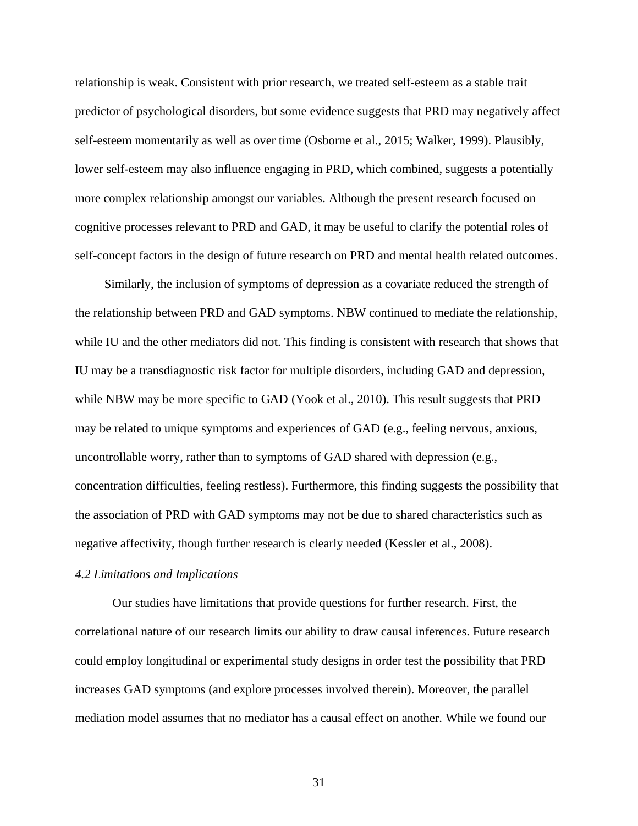relationship is weak. Consistent with prior research, we treated self-esteem as a stable trait predictor of psychological disorders, but some evidence suggests that PRD may negatively affect self-esteem momentarily as well as over time (Osborne et al., 2015; Walker, 1999). Plausibly, lower self-esteem may also influence engaging in PRD, which combined, suggests a potentially more complex relationship amongst our variables. Although the present research focused on cognitive processes relevant to PRD and GAD, it may be useful to clarify the potential roles of self-concept factors in the design of future research on PRD and mental health related outcomes.

Similarly, the inclusion of symptoms of depression as a covariate reduced the strength of the relationship between PRD and GAD symptoms. NBW continued to mediate the relationship, while IU and the other mediators did not. This finding is consistent with research that shows that IU may be a transdiagnostic risk factor for multiple disorders, including GAD and depression, while NBW may be more specific to GAD (Yook et al., 2010). This result suggests that PRD may be related to unique symptoms and experiences of GAD (e.g., feeling nervous, anxious, uncontrollable worry, rather than to symptoms of GAD shared with depression (e.g., concentration difficulties, feeling restless). Furthermore, this finding suggests the possibility that the association of PRD with GAD symptoms may not be due to shared characteristics such as negative affectivity, though further research is clearly needed (Kessler et al., 2008).

# <span id="page-36-0"></span>*4.2 Limitations and Implications*

Our studies have limitations that provide questions for further research. First, the correlational nature of our research limits our ability to draw causal inferences. Future research could employ longitudinal or experimental study designs in order test the possibility that PRD increases GAD symptoms (and explore processes involved therein). Moreover, the parallel mediation model assumes that no mediator has a causal effect on another. While we found our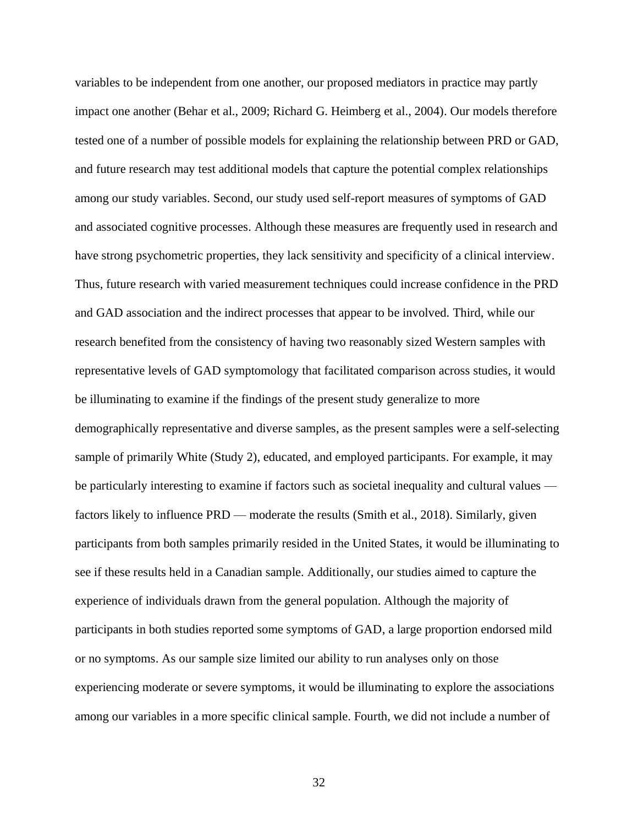variables to be independent from one another, our proposed mediators in practice may partly impact one another (Behar et al., 2009; Richard G. Heimberg et al., 2004). Our models therefore tested one of a number of possible models for explaining the relationship between PRD or GAD, and future research may test additional models that capture the potential complex relationships among our study variables. Second, our study used self-report measures of symptoms of GAD and associated cognitive processes. Although these measures are frequently used in research and have strong psychometric properties, they lack sensitivity and specificity of a clinical interview. Thus, future research with varied measurement techniques could increase confidence in the PRD and GAD association and the indirect processes that appear to be involved. Third, while our research benefited from the consistency of having two reasonably sized Western samples with representative levels of GAD symptomology that facilitated comparison across studies, it would be illuminating to examine if the findings of the present study generalize to more demographically representative and diverse samples, as the present samples were a self-selecting sample of primarily White (Study 2), educated, and employed participants. For example, it may be particularly interesting to examine if factors such as societal inequality and cultural values factors likely to influence PRD — moderate the results (Smith et al., 2018). Similarly, given participants from both samples primarily resided in the United States, it would be illuminating to see if these results held in a Canadian sample. Additionally, our studies aimed to capture the experience of individuals drawn from the general population. Although the majority of participants in both studies reported some symptoms of GAD, a large proportion endorsed mild or no symptoms. As our sample size limited our ability to run analyses only on those experiencing moderate or severe symptoms, it would be illuminating to explore the associations among our variables in a more specific clinical sample. Fourth, we did not include a number of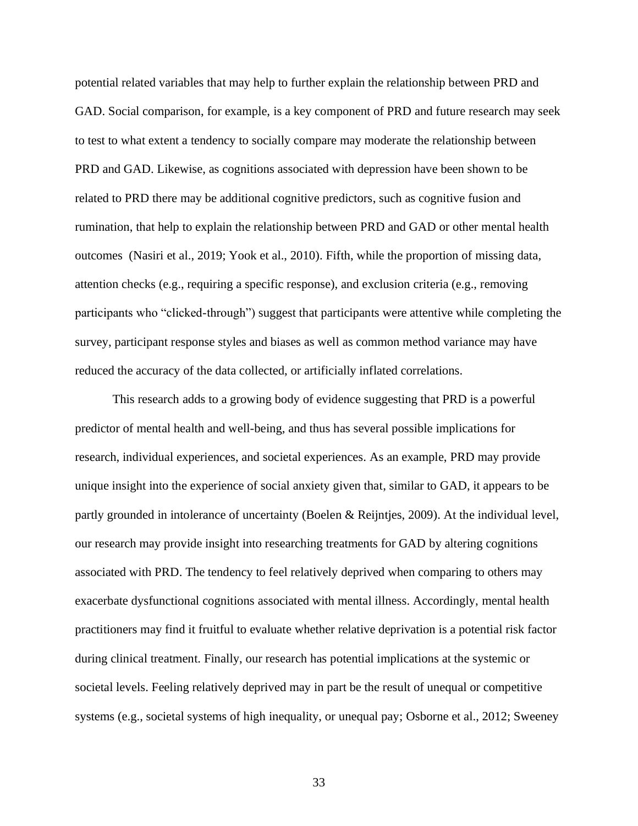potential related variables that may help to further explain the relationship between PRD and GAD. Social comparison, for example, is a key component of PRD and future research may seek to test to what extent a tendency to socially compare may moderate the relationship between PRD and GAD. Likewise, as cognitions associated with depression have been shown to be related to PRD there may be additional cognitive predictors, such as cognitive fusion and rumination, that help to explain the relationship between PRD and GAD or other mental health outcomes (Nasiri et al., 2019; Yook et al., 2010). Fifth, while the proportion of missing data, attention checks (e.g., requiring a specific response), and exclusion criteria (e.g., removing participants who "clicked-through") suggest that participants were attentive while completing the survey, participant response styles and biases as well as common method variance may have reduced the accuracy of the data collected, or artificially inflated correlations.

This research adds to a growing body of evidence suggesting that PRD is a powerful predictor of mental health and well-being, and thus has several possible implications for research, individual experiences, and societal experiences. As an example, PRD may provide unique insight into the experience of social anxiety given that, similar to GAD, it appears to be partly grounded in intolerance of uncertainty (Boelen & Reijntjes, 2009). At the individual level, our research may provide insight into researching treatments for GAD by altering cognitions associated with PRD. The tendency to feel relatively deprived when comparing to others may exacerbate dysfunctional cognitions associated with mental illness. Accordingly, mental health practitioners may find it fruitful to evaluate whether relative deprivation is a potential risk factor during clinical treatment. Finally, our research has potential implications at the systemic or societal levels. Feeling relatively deprived may in part be the result of unequal or competitive systems (e.g., societal systems of high inequality, or unequal pay; Osborne et al., 2012; Sweeney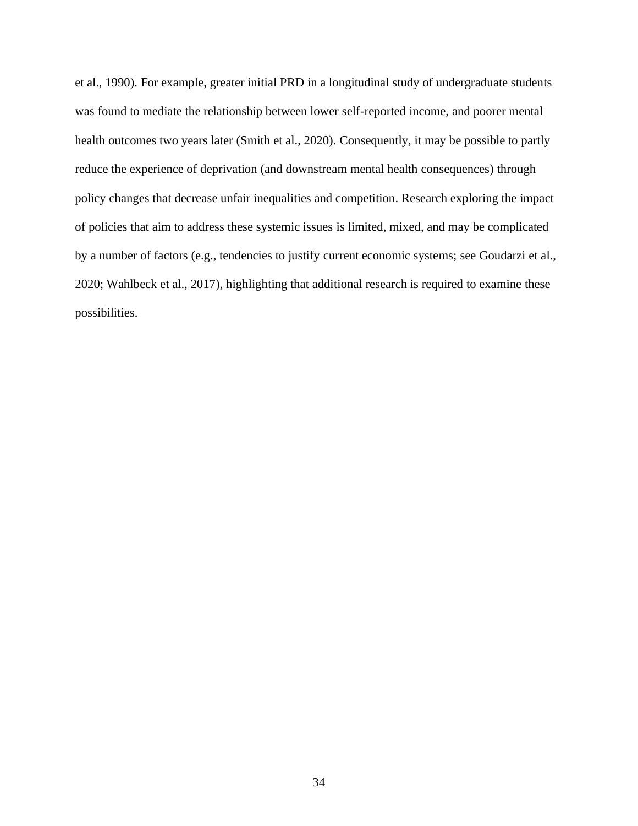et al., 1990). For example, greater initial PRD in a longitudinal study of undergraduate students was found to mediate the relationship between lower self-reported income, and poorer mental health outcomes two years later (Smith et al., 2020). Consequently, it may be possible to partly reduce the experience of deprivation (and downstream mental health consequences) through policy changes that decrease unfair inequalities and competition. Research exploring the impact of policies that aim to address these systemic issues is limited, mixed, and may be complicated by a number of factors (e.g., tendencies to justify current economic systems; see Goudarzi et al., 2020; Wahlbeck et al., 2017), highlighting that additional research is required to examine these possibilities.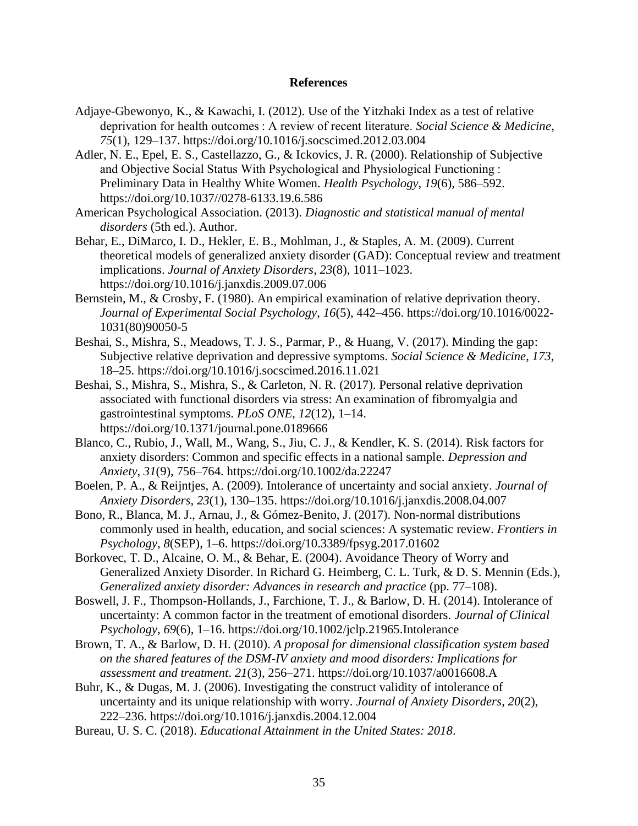# **References**

- <span id="page-40-0"></span>Adjaye-Gbewonyo, K., & Kawachi, I. (2012). Use of the Yitzhaki Index as a test of relative deprivation for health outcomes : A review of recent literature. *Social Science & Medicine*, *75*(1), 129–137. https://doi.org/10.1016/j.socscimed.2012.03.004
- Adler, N. E., Epel, E. S., Castellazzo, G., & Ickovics, J. R. (2000). Relationship of Subjective and Objective Social Status With Psychological and Physiological Functioning : Preliminary Data in Healthy White Women. *Health Psychology*, *19*(6), 586–592. https://doi.org/10.1037//0278-6133.19.6.586
- American Psychological Association. (2013). *Diagnostic and statistical manual of mental disorders* (5th ed.). Author.
- Behar, E., DiMarco, I. D., Hekler, E. B., Mohlman, J., & Staples, A. M. (2009). Current theoretical models of generalized anxiety disorder (GAD): Conceptual review and treatment implications. *Journal of Anxiety Disorders*, *23*(8), 1011–1023. https://doi.org/10.1016/j.janxdis.2009.07.006
- Bernstein, M., & Crosby, F. (1980). An empirical examination of relative deprivation theory. *Journal of Experimental Social Psychology*, *16*(5), 442–456. https://doi.org/10.1016/0022- 1031(80)90050-5
- Beshai, S., Mishra, S., Meadows, T. J. S., Parmar, P., & Huang, V. (2017). Minding the gap: Subjective relative deprivation and depressive symptoms. *Social Science & Medicine*, *173*, 18–25. https://doi.org/10.1016/j.socscimed.2016.11.021
- Beshai, S., Mishra, S., Mishra, S., & Carleton, N. R. (2017). Personal relative deprivation associated with functional disorders via stress: An examination of fibromyalgia and gastrointestinal symptoms. *PLoS ONE*, *12*(12), 1–14. https://doi.org/10.1371/journal.pone.0189666
- Blanco, C., Rubio, J., Wall, M., Wang, S., Jiu, C. J., & Kendler, K. S. (2014). Risk factors for anxiety disorders: Common and specific effects in a national sample. *Depression and Anxiety*, *31*(9), 756–764. https://doi.org/10.1002/da.22247
- Boelen, P. A., & Reijntjes, A. (2009). Intolerance of uncertainty and social anxiety. *Journal of Anxiety Disorders*, *23*(1), 130–135. https://doi.org/10.1016/j.janxdis.2008.04.007
- Bono, R., Blanca, M. J., Arnau, J., & Gómez-Benito, J. (2017). Non-normal distributions commonly used in health, education, and social sciences: A systematic review. *Frontiers in Psychology*, *8*(SEP), 1–6. https://doi.org/10.3389/fpsyg.2017.01602
- Borkovec, T. D., Alcaine, O. M., & Behar, E. (2004). Avoidance Theory of Worry and Generalized Anxiety Disorder. In Richard G. Heimberg, C. L. Turk, & D. S. Mennin (Eds.), *Generalized anxiety disorder: Advances in research and practice* (pp. 77–108).
- Boswell, J. F., Thompson-Hollands, J., Farchione, T. J., & Barlow, D. H. (2014). Intolerance of uncertainty: A common factor in the treatment of emotional disorders. *Journal of Clinical Psychology*, *69*(6), 1–16. https://doi.org/10.1002/jclp.21965.Intolerance
- Brown, T. A., & Barlow, D. H. (2010). *A proposal for dimensional classification system based on the shared features of the DSM-IV anxiety and mood disorders: Implications for assessment and treatment*. *21*(3), 256–271. https://doi.org/10.1037/a0016608.A
- Buhr, K., & Dugas, M. J. (2006). Investigating the construct validity of intolerance of uncertainty and its unique relationship with worry. *Journal of Anxiety Disorders*, *20*(2), 222–236. https://doi.org/10.1016/j.janxdis.2004.12.004
- Bureau, U. S. C. (2018). *Educational Attainment in the United States: 2018*.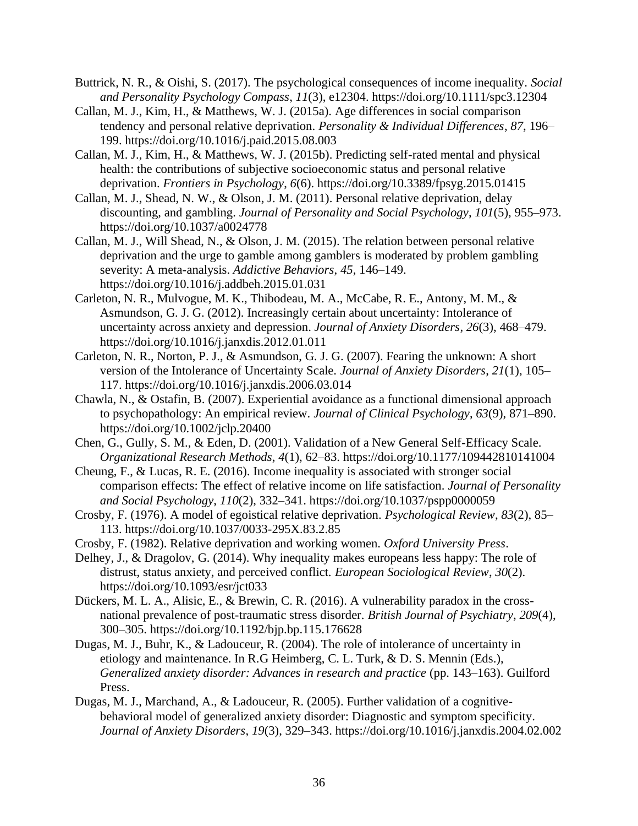- Buttrick, N. R., & Oishi, S. (2017). The psychological consequences of income inequality. *Social and Personality Psychology Compass*, *11*(3), e12304. https://doi.org/10.1111/spc3.12304
- Callan, M. J., Kim, H., & Matthews, W. J. (2015a). Age differences in social comparison tendency and personal relative deprivation. *Personality & Individual Differences*, *87*, 196– 199. https://doi.org/10.1016/j.paid.2015.08.003
- Callan, M. J., Kim, H., & Matthews, W. J. (2015b). Predicting self-rated mental and physical health: the contributions of subjective socioeconomic status and personal relative deprivation. *Frontiers in Psychology*, *6*(6). https://doi.org/10.3389/fpsyg.2015.01415
- Callan, M. J., Shead, N. W., & Olson, J. M. (2011). Personal relative deprivation, delay discounting, and gambling. *Journal of Personality and Social Psychology*, *101*(5), 955–973. https://doi.org/10.1037/a0024778
- Callan, M. J., Will Shead, N., & Olson, J. M. (2015). The relation between personal relative deprivation and the urge to gamble among gamblers is moderated by problem gambling severity: A meta-analysis. *Addictive Behaviors*, *45*, 146–149. https://doi.org/10.1016/j.addbeh.2015.01.031
- Carleton, N. R., Mulvogue, M. K., Thibodeau, M. A., McCabe, R. E., Antony, M. M., & Asmundson, G. J. G. (2012). Increasingly certain about uncertainty: Intolerance of uncertainty across anxiety and depression. *Journal of Anxiety Disorders*, *26*(3), 468–479. https://doi.org/10.1016/j.janxdis.2012.01.011
- Carleton, N. R., Norton, P. J., & Asmundson, G. J. G. (2007). Fearing the unknown: A short version of the Intolerance of Uncertainty Scale. *Journal of Anxiety Disorders*, *21*(1), 105– 117. https://doi.org/10.1016/j.janxdis.2006.03.014
- Chawla, N., & Ostafin, B. (2007). Experiential avoidance as a functional dimensional approach to psychopathology: An empirical review. *Journal of Clinical Psychology*, *63*(9), 871–890. https://doi.org/10.1002/jclp.20400
- Chen, G., Gully, S. M., & Eden, D. (2001). Validation of a New General Self-Efficacy Scale. *Organizational Research Methods*, *4*(1), 62–83. https://doi.org/10.1177/109442810141004
- Cheung, F., & Lucas, R. E. (2016). Income inequality is associated with stronger social comparison effects: The effect of relative income on life satisfaction. *Journal of Personality and Social Psychology*, *110*(2), 332–341. https://doi.org/10.1037/pspp0000059
- Crosby, F. (1976). A model of egoistical relative deprivation. *Psychological Review*, *83*(2), 85– 113. https://doi.org/10.1037/0033-295X.83.2.85
- Crosby, F. (1982). Relative deprivation and working women. *Oxford University Press*.
- Delhey, J., & Dragolov, G. (2014). Why inequality makes europeans less happy: The role of distrust, status anxiety, and perceived conflict. *European Sociological Review*, *30*(2). https://doi.org/10.1093/esr/jct033
- Dückers, M. L. A., Alisic, E., & Brewin, C. R. (2016). A vulnerability paradox in the crossnational prevalence of post-traumatic stress disorder. *British Journal of Psychiatry*, *209*(4), 300–305. https://doi.org/10.1192/bjp.bp.115.176628
- Dugas, M. J., Buhr, K., & Ladouceur, R. (2004). The role of intolerance of uncertainty in etiology and maintenance. In R.G Heimberg, C. L. Turk, & D. S. Mennin (Eds.), *Generalized anxiety disorder: Advances in research and practice* (pp. 143–163). Guilford Press.
- Dugas, M. J., Marchand, A., & Ladouceur, R. (2005). Further validation of a cognitivebehavioral model of generalized anxiety disorder: Diagnostic and symptom specificity. *Journal of Anxiety Disorders*, *19*(3), 329–343. https://doi.org/10.1016/j.janxdis.2004.02.002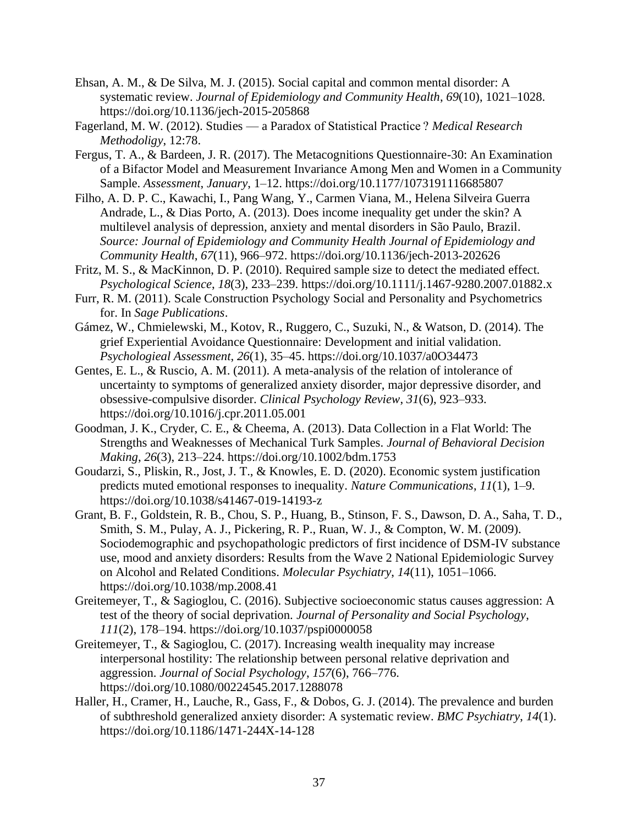- Ehsan, A. M., & De Silva, M. J. (2015). Social capital and common mental disorder: A systematic review. *Journal of Epidemiology and Community Health*, *69*(10), 1021–1028. https://doi.org/10.1136/jech-2015-205868
- Fagerland, M. W. (2012). Studies a Paradox of Statistical Practice ? *Medical Research Methodoligy*, 12:78.
- Fergus, T. A., & Bardeen, J. R. (2017). The Metacognitions Questionnaire-30: An Examination of a Bifactor Model and Measurement Invariance Among Men and Women in a Community Sample. *Assessment*, *January*, 1–12. https://doi.org/10.1177/1073191116685807
- Filho, A. D. P. C., Kawachi, I., Pang Wang, Y., Carmen Viana, M., Helena Silveira Guerra Andrade, L., & Dias Porto, A. (2013). Does income inequality get under the skin? A multilevel analysis of depression, anxiety and mental disorders in São Paulo, Brazil. *Source: Journal of Epidemiology and Community Health Journal of Epidemiology and Community Health*, *67*(11), 966–972. https://doi.org/10.1136/jech-2013-202626
- Fritz, M. S., & MacKinnon, D. P. (2010). Required sample size to detect the mediated effect. *Psychological Science*, *18*(3), 233–239. https://doi.org/10.1111/j.1467-9280.2007.01882.x
- Furr, R. M. (2011). Scale Construction Psychology Social and Personality and Psychometrics for. In *Sage Publications*.
- Gámez, W., Chmielewski, M., Kotov, R., Ruggero, C., Suzuki, N., & Watson, D. (2014). The grief Experiential Avoidance Questionnaire: Development and initial validation. *Psychologieal Assessment*, *26*(1), 35–45. https://doi.org/10.1037/a0O34473
- Gentes, E. L., & Ruscio, A. M. (2011). A meta-analysis of the relation of intolerance of uncertainty to symptoms of generalized anxiety disorder, major depressive disorder, and obsessive-compulsive disorder. *Clinical Psychology Review*, *31*(6), 923–933. https://doi.org/10.1016/j.cpr.2011.05.001
- Goodman, J. K., Cryder, C. E., & Cheema, A. (2013). Data Collection in a Flat World: The Strengths and Weaknesses of Mechanical Turk Samples. *Journal of Behavioral Decision Making*, *26*(3), 213–224. https://doi.org/10.1002/bdm.1753
- Goudarzi, S., Pliskin, R., Jost, J. T., & Knowles, E. D. (2020). Economic system justification predicts muted emotional responses to inequality. *Nature Communications*, *11*(1), 1–9. https://doi.org/10.1038/s41467-019-14193-z
- Grant, B. F., Goldstein, R. B., Chou, S. P., Huang, B., Stinson, F. S., Dawson, D. A., Saha, T. D., Smith, S. M., Pulay, A. J., Pickering, R. P., Ruan, W. J., & Compton, W. M. (2009). Sociodemographic and psychopathologic predictors of first incidence of DSM-IV substance use, mood and anxiety disorders: Results from the Wave 2 National Epidemiologic Survey on Alcohol and Related Conditions. *Molecular Psychiatry*, *14*(11), 1051–1066. https://doi.org/10.1038/mp.2008.41
- Greitemeyer, T., & Sagioglou, C. (2016). Subjective socioeconomic status causes aggression: A test of the theory of social deprivation. *Journal of Personality and Social Psychology*, *111*(2), 178–194. https://doi.org/10.1037/pspi0000058
- Greitemeyer, T., & Sagioglou, C. (2017). Increasing wealth inequality may increase interpersonal hostility: The relationship between personal relative deprivation and aggression. *Journal of Social Psychology*, *157*(6), 766–776. https://doi.org/10.1080/00224545.2017.1288078
- Haller, H., Cramer, H., Lauche, R., Gass, F., & Dobos, G. J. (2014). The prevalence and burden of subthreshold generalized anxiety disorder: A systematic review. *BMC Psychiatry*, *14*(1). https://doi.org/10.1186/1471-244X-14-128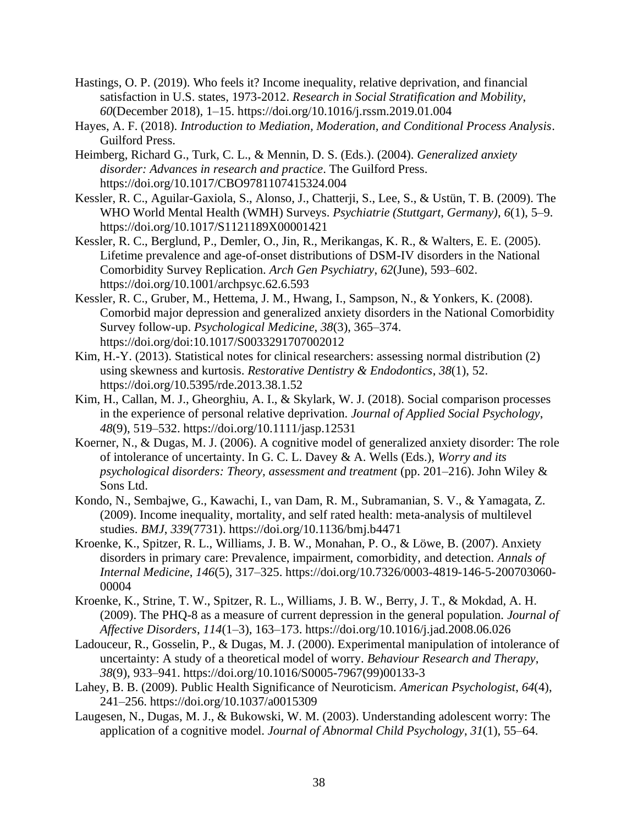- Hastings, O. P. (2019). Who feels it? Income inequality, relative deprivation, and financial satisfaction in U.S. states, 1973-2012. *Research in Social Stratification and Mobility*, *60*(December 2018), 1–15. https://doi.org/10.1016/j.rssm.2019.01.004
- Hayes, A. F. (2018). *Introduction to Mediation, Moderation, and Conditional Process Analysis*. Guilford Press.
- Heimberg, Richard G., Turk, C. L., & Mennin, D. S. (Eds.). (2004). *Generalized anxiety disorder: Advances in research and practice*. The Guilford Press. https://doi.org/10.1017/CBO9781107415324.004
- Kessler, R. C., Aguilar-Gaxiola, S., Alonso, J., Chatterji, S., Lee, S., & Ustün, T. B. (2009). The WHO World Mental Health (WMH) Surveys. *Psychiatrie (Stuttgart, Germany)*, *6*(1), 5–9. https://doi.org/10.1017/S1121189X00001421
- Kessler, R. C., Berglund, P., Demler, O., Jin, R., Merikangas, K. R., & Walters, E. E. (2005). Lifetime prevalence and age-of-onset distributions of DSM-IV disorders in the National Comorbidity Survey Replication. *Arch Gen Psychiatry*, *62*(June), 593–602. https://doi.org/10.1001/archpsyc.62.6.593
- Kessler, R. C., Gruber, M., Hettema, J. M., Hwang, I., Sampson, N., & Yonkers, K. (2008). Comorbid major depression and generalized anxiety disorders in the National Comorbidity Survey follow-up. *Psychological Medicine*, *38*(3), 365–374. https://doi.org/doi:10.1017/S0033291707002012
- Kim, H.-Y. (2013). Statistical notes for clinical researchers: assessing normal distribution (2) using skewness and kurtosis. *Restorative Dentistry & Endodontics*, *38*(1), 52. https://doi.org/10.5395/rde.2013.38.1.52
- Kim, H., Callan, M. J., Gheorghiu, A. I., & Skylark, W. J. (2018). Social comparison processes in the experience of personal relative deprivation. *Journal of Applied Social Psychology*, *48*(9), 519–532. https://doi.org/10.1111/jasp.12531
- Koerner, N., & Dugas, M. J. (2006). A cognitive model of generalized anxiety disorder: The role of intolerance of uncertainty. In G. C. L. Davey & A. Wells (Eds.), *Worry and its psychological disorders: Theory, assessment and treatment* (pp. 201–216). John Wiley & Sons Ltd.
- Kondo, N., Sembajwe, G., Kawachi, I., van Dam, R. M., Subramanian, S. V., & Yamagata, Z. (2009). Income inequality, mortality, and self rated health: meta-analysis of multilevel studies. *BMJ*, *339*(7731). https://doi.org/10.1136/bmj.b4471
- Kroenke, K., Spitzer, R. L., Williams, J. B. W., Monahan, P. O., & Löwe, B. (2007). Anxiety disorders in primary care: Prevalence, impairment, comorbidity, and detection. *Annals of Internal Medicine*, *146*(5), 317–325. https://doi.org/10.7326/0003-4819-146-5-200703060- 00004
- Kroenke, K., Strine, T. W., Spitzer, R. L., Williams, J. B. W., Berry, J. T., & Mokdad, A. H. (2009). The PHQ-8 as a measure of current depression in the general population. *Journal of Affective Disorders*, *114*(1–3), 163–173. https://doi.org/10.1016/j.jad.2008.06.026
- Ladouceur, R., Gosselin, P., & Dugas, M. J. (2000). Experimental manipulation of intolerance of uncertainty: A study of a theoretical model of worry. *Behaviour Research and Therapy*, *38*(9), 933–941. https://doi.org/10.1016/S0005-7967(99)00133-3
- Lahey, B. B. (2009). Public Health Significance of Neuroticism. *American Psychologist*, *64*(4), 241–256. https://doi.org/10.1037/a0015309
- Laugesen, N., Dugas, M. J., & Bukowski, W. M. (2003). Understanding adolescent worry: The application of a cognitive model. *Journal of Abnormal Child Psychology*, *31*(1), 55–64.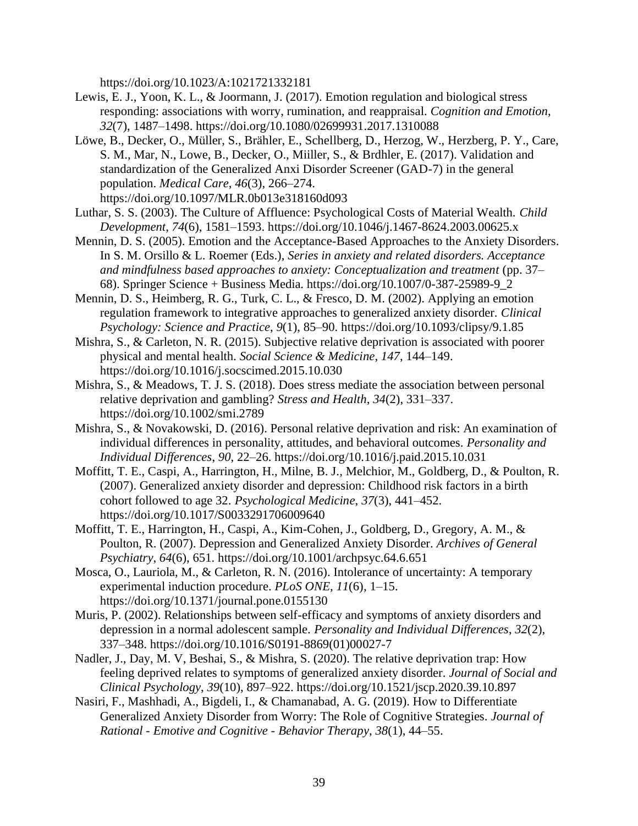https://doi.org/10.1023/A:1021721332181

- Lewis, E. J., Yoon, K. L., & Joormann, J. (2017). Emotion regulation and biological stress responding: associations with worry, rumination, and reappraisal. *Cognition and Emotion*, *32*(7), 1487–1498. https://doi.org/10.1080/02699931.2017.1310088
- Löwe, B., Decker, O., Müller, S., Brähler, E., Schellberg, D., Herzog, W., Herzberg, P. Y., Care, S. M., Mar, N., Lowe, B., Decker, O., Miiller, S., & Brdhler, E. (2017). Validation and standardization of the Generalized Anxi Disorder Screener (GAD-7) in the general population. *Medical Care*, *46*(3), 266–274. https://doi.org/10.1097/MLR.0b013e318160d093
- Luthar, S. S. (2003). The Culture of Affluence: Psychological Costs of Material Wealth. *Child Development*, *74*(6), 1581–1593. https://doi.org/10.1046/j.1467-8624.2003.00625.x
- Mennin, D. S. (2005). Emotion and the Acceptance-Based Approaches to the Anxiety Disorders. In S. M. Orsillo & L. Roemer (Eds.), *Series in anxiety and related disorders. Acceptance and mindfulness based approaches to anxiety: Conceptualization and treatment* (pp. 37– 68). Springer Science + Business Media. https://doi.org/10.1007/0-387-25989-9\_2
- Mennin, D. S., Heimberg, R. G., Turk, C. L., & Fresco, D. M. (2002). Applying an emotion regulation framework to integrative approaches to generalized anxiety disorder. *Clinical Psychology: Science and Practice*, *9*(1), 85–90. https://doi.org/10.1093/clipsy/9.1.85
- Mishra, S., & Carleton, N. R. (2015). Subjective relative deprivation is associated with poorer physical and mental health. *Social Science & Medicine*, *147*, 144–149. https://doi.org/10.1016/j.socscimed.2015.10.030
- Mishra, S., & Meadows, T. J. S. (2018). Does stress mediate the association between personal relative deprivation and gambling? *Stress and Health*, *34*(2), 331–337. https://doi.org/10.1002/smi.2789
- Mishra, S., & Novakowski, D. (2016). Personal relative deprivation and risk: An examination of individual differences in personality, attitudes, and behavioral outcomes. *Personality and Individual Differences*, *90*, 22–26. https://doi.org/10.1016/j.paid.2015.10.031
- Moffitt, T. E., Caspi, A., Harrington, H., Milne, B. J., Melchior, M., Goldberg, D., & Poulton, R. (2007). Generalized anxiety disorder and depression: Childhood risk factors in a birth cohort followed to age 32. *Psychological Medicine*, *37*(3), 441–452. https://doi.org/10.1017/S0033291706009640
- Moffitt, T. E., Harrington, H., Caspi, A., Kim-Cohen, J., Goldberg, D., Gregory, A. M., & Poulton, R. (2007). Depression and Generalized Anxiety Disorder. *Archives of General Psychiatry*, *64*(6), 651. https://doi.org/10.1001/archpsyc.64.6.651
- Mosca, O., Lauriola, M., & Carleton, R. N. (2016). Intolerance of uncertainty: A temporary experimental induction procedure. *PLoS ONE*, *11*(6), 1–15. https://doi.org/10.1371/journal.pone.0155130
- Muris, P. (2002). Relationships between self-efficacy and symptoms of anxiety disorders and depression in a normal adolescent sample. *Personality and Individual Differences*, *32*(2), 337–348. https://doi.org/10.1016/S0191-8869(01)00027-7
- Nadler, J., Day, M. V, Beshai, S., & Mishra, S. (2020). The relative deprivation trap: How feeling deprived relates to symptoms of generalized anxiety disorder. *Journal of Social and Clinical Psychology*, *39*(10), 897–922. https://doi.org/10.1521/jscp.2020.39.10.897
- Nasiri, F., Mashhadi, A., Bigdeli, I., & Chamanabad, A. G. (2019). How to Differentiate Generalized Anxiety Disorder from Worry: The Role of Cognitive Strategies. *Journal of Rational - Emotive and Cognitive - Behavior Therapy*, *38*(1), 44–55.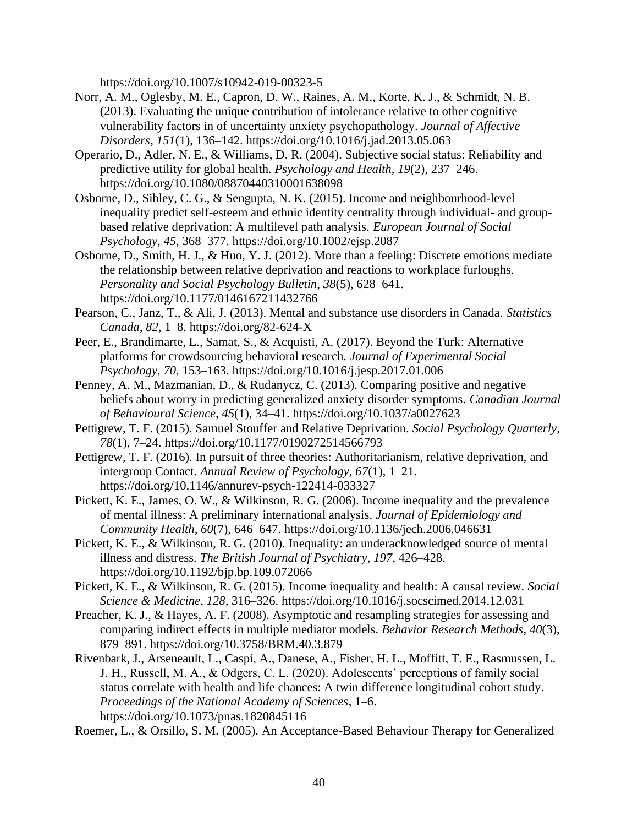https://doi.org/10.1007/s10942-019-00323-5

- Norr, A. M., Oglesby, M. E., Capron, D. W., Raines, A. M., Korte, K. J., & Schmidt, N. B. (2013). Evaluating the unique contribution of intolerance relative to other cognitive vulnerability factors in of uncertainty anxiety psychopathology. *Journal of Affective Disorders*, *151*(1), 136–142. https://doi.org/10.1016/j.jad.2013.05.063
- Operario, D., Adler, N. E., & Williams, D. R. (2004). Subjective social status: Reliability and predictive utility for global health. *Psychology and Health*, *19*(2), 237–246. https://doi.org/10.1080/08870440310001638098
- Osborne, D., Sibley, C. G., & Sengupta, N. K. (2015). Income and neighbourhood-level inequality predict self-esteem and ethnic identity centrality through individual- and groupbased relative deprivation: A multilevel path analysis. *European Journal of Social Psychology*, *45*, 368–377. https://doi.org/10.1002/ejsp.2087
- Osborne, D., Smith, H. J., & Huo, Y. J. (2012). More than a feeling: Discrete emotions mediate the relationship between relative deprivation and reactions to workplace furloughs. *Personality and Social Psychology Bulletin*, *38*(5), 628–641. https://doi.org/10.1177/0146167211432766
- Pearson, C., Janz, T., & Ali, J. (2013). Mental and substance use disorders in Canada. *Statistics Canada*, *82*, 1–8. https://doi.org/82-624-X
- Peer, E., Brandimarte, L., Samat, S., & Acquisti, A. (2017). Beyond the Turk: Alternative platforms for crowdsourcing behavioral research. *Journal of Experimental Social Psychology*, *70*, 153–163. https://doi.org/10.1016/j.jesp.2017.01.006
- Penney, A. M., Mazmanian, D., & Rudanycz, C. (2013). Comparing positive and negative beliefs about worry in predicting generalized anxiety disorder symptoms. *Canadian Journal of Behavioural Science*, *45*(1), 34–41. https://doi.org/10.1037/a0027623
- Pettigrew, T. F. (2015). Samuel Stouffer and Relative Deprivation. *Social Psychology Quarterly*, *78*(1), 7–24. https://doi.org/10.1177/0190272514566793
- Pettigrew, T. F. (2016). In pursuit of three theories: Authoritarianism, relative deprivation, and intergroup Contact. *Annual Review of Psychology*, *67*(1), 1–21. https://doi.org/10.1146/annurev-psych-122414-033327
- Pickett, K. E., James, O. W., & Wilkinson, R. G. (2006). Income inequality and the prevalence of mental illness: A preliminary international analysis. *Journal of Epidemiology and Community Health*, *60*(7), 646–647. https://doi.org/10.1136/jech.2006.046631
- Pickett, K. E., & Wilkinson, R. G. (2010). Inequality: an underacknowledged source of mental illness and distress. *The British Journal of Psychiatry*, *197*, 426–428. https://doi.org/10.1192/bjp.bp.109.072066
- Pickett, K. E., & Wilkinson, R. G. (2015). Income inequality and health: A causal review. *Social Science & Medicine*, *128*, 316–326. https://doi.org/10.1016/j.socscimed.2014.12.031
- Preacher, K. J., & Hayes, A. F. (2008). Asymptotic and resampling strategies for assessing and comparing indirect effects in multiple mediator models. *Behavior Research Methods*, *40*(3), 879–891. https://doi.org/10.3758/BRM.40.3.879
- Rivenbark, J., Arseneault, L., Caspi, A., Danese, A., Fisher, H. L., Moffitt, T. E., Rasmussen, L. J. H., Russell, M. A., & Odgers, C. L. (2020). Adolescents' perceptions of family social status correlate with health and life chances: A twin difference longitudinal cohort study. *Proceedings of the National Academy of Sciences*, 1–6. https://doi.org/10.1073/pnas.1820845116
- Roemer, L., & Orsillo, S. M. (2005). An Acceptance-Based Behaviour Therapy for Generalized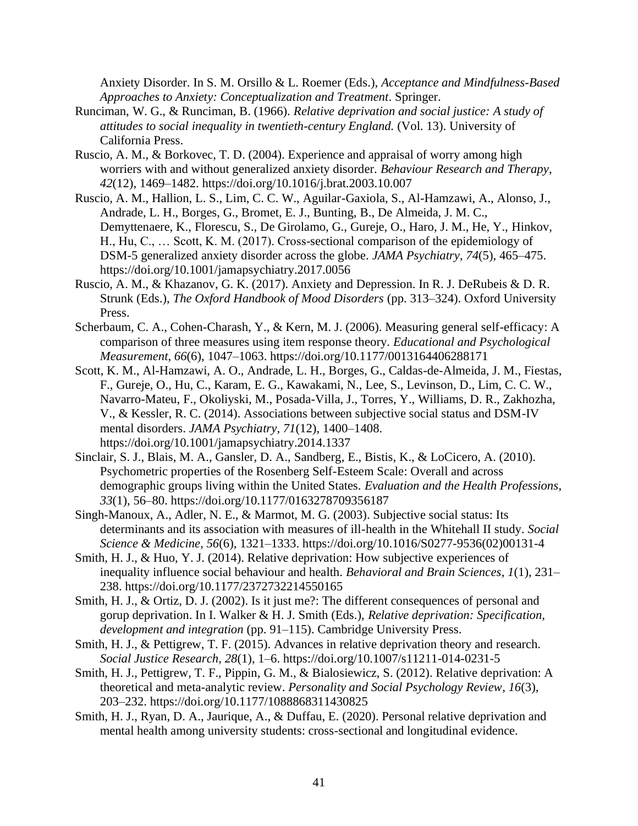Anxiety Disorder. In S. M. Orsillo & L. Roemer (Eds.), *Acceptance and Mindfulness-Based Approaches to Anxiety: Conceptualization and Treatment*. Springer.

- Runciman, W. G., & Runciman, B. (1966). *Relative deprivation and social justice: A study of attitudes to social inequality in twentieth-century England.* (Vol. 13). University of California Press.
- Ruscio, A. M., & Borkovec, T. D. (2004). Experience and appraisal of worry among high worriers with and without generalized anxiety disorder. *Behaviour Research and Therapy*, *42*(12), 1469–1482. https://doi.org/10.1016/j.brat.2003.10.007
- Ruscio, A. M., Hallion, L. S., Lim, C. C. W., Aguilar-Gaxiola, S., Al-Hamzawi, A., Alonso, J., Andrade, L. H., Borges, G., Bromet, E. J., Bunting, B., De Almeida, J. M. C., Demyttenaere, K., Florescu, S., De Girolamo, G., Gureje, O., Haro, J. M., He, Y., Hinkov, H., Hu, C., … Scott, K. M. (2017). Cross-sectional comparison of the epidemiology of DSM-5 generalized anxiety disorder across the globe. *JAMA Psychiatry*, *74*(5), 465–475. https://doi.org/10.1001/jamapsychiatry.2017.0056
- Ruscio, A. M., & Khazanov, G. K. (2017). Anxiety and Depression. In R. J. DeRubeis & D. R. Strunk (Eds.), *The Oxford Handbook of Mood Disorders* (pp. 313–324). Oxford University Press.
- Scherbaum, C. A., Cohen-Charash, Y., & Kern, M. J. (2006). Measuring general self-efficacy: A comparison of three measures using item response theory. *Educational and Psychological Measurement*, *66*(6), 1047–1063. https://doi.org/10.1177/0013164406288171
- Scott, K. M., Al-Hamzawi, A. O., Andrade, L. H., Borges, G., Caldas-de-Almeida, J. M., Fiestas, F., Gureje, O., Hu, C., Karam, E. G., Kawakami, N., Lee, S., Levinson, D., Lim, C. C. W., Navarro-Mateu, F., Okoliyski, M., Posada-Villa, J., Torres, Y., Williams, D. R., Zakhozha, V., & Kessler, R. C. (2014). Associations between subjective social status and DSM-IV mental disorders. *JAMA Psychiatry*, *71*(12), 1400–1408. https://doi.org/10.1001/jamapsychiatry.2014.1337
- Sinclair, S. J., Blais, M. A., Gansler, D. A., Sandberg, E., Bistis, K., & LoCicero, A. (2010). Psychometric properties of the Rosenberg Self-Esteem Scale: Overall and across demographic groups living within the United States. *Evaluation and the Health Professions*, *33*(1), 56–80. https://doi.org/10.1177/0163278709356187
- Singh-Manoux, A., Adler, N. E., & Marmot, M. G. (2003). Subjective social status: Its determinants and its association with measures of ill-health in the Whitehall II study. *Social Science & Medicine*, *56*(6), 1321–1333. https://doi.org/10.1016/S0277-9536(02)00131-4
- Smith, H. J., & Huo, Y. J. (2014). Relative deprivation: How subjective experiences of inequality influence social behaviour and health. *Behavioral and Brain Sciences*, *1*(1), 231– 238. https://doi.org/10.1177/2372732214550165
- Smith, H. J., & Ortiz, D. J. (2002). Is it just me?: The different consequences of personal and gorup deprivation. In I. Walker & H. J. Smith (Eds.), *Relative deprivation: Specification, development and integration* (pp. 91–115). Cambridge University Press.
- Smith, H. J., & Pettigrew, T. F. (2015). Advances in relative deprivation theory and research. *Social Justice Research*, *28*(1), 1–6. https://doi.org/10.1007/s11211-014-0231-5
- Smith, H. J., Pettigrew, T. F., Pippin, G. M., & Bialosiewicz, S. (2012). Relative deprivation: A theoretical and meta-analytic review. *Personality and Social Psychology Review*, *16*(3), 203–232. https://doi.org/10.1177/1088868311430825
- Smith, H. J., Ryan, D. A., Jaurique, A., & Duffau, E. (2020). Personal relative deprivation and mental health among university students: cross-sectional and longitudinal evidence.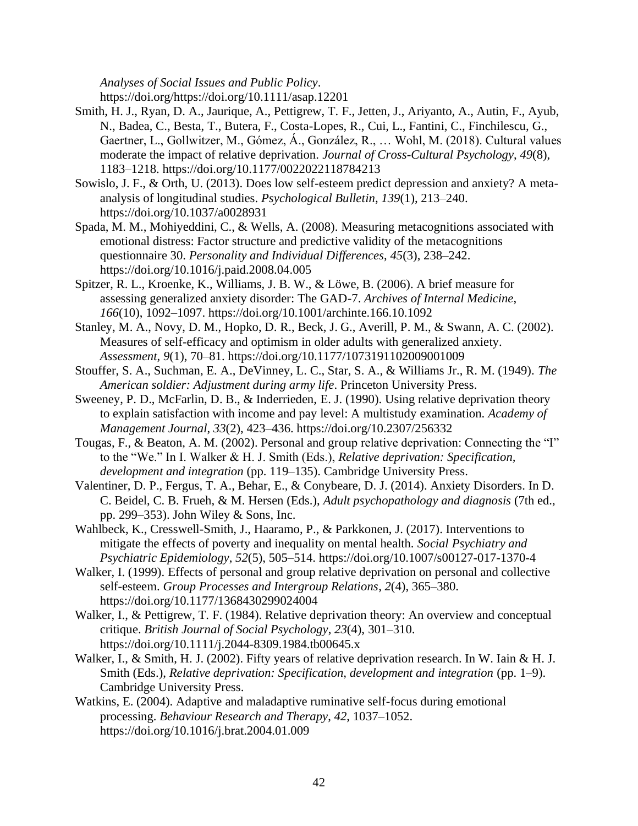*Analyses of Social Issues and Public Policy*. https://doi.org/https://doi.org/10.1111/asap.12201

- Smith, H. J., Ryan, D. A., Jaurique, A., Pettigrew, T. F., Jetten, J., Ariyanto, A., Autin, F., Ayub, N., Badea, C., Besta, T., Butera, F., Costa-Lopes, R., Cui, L., Fantini, C., Finchilescu, G., Gaertner, L., Gollwitzer, M., Gómez, Á., González, R., … Wohl, M. (2018). Cultural values moderate the impact of relative deprivation. *Journal of Cross-Cultural Psychology*, *49*(8), 1183–1218. https://doi.org/10.1177/0022022118784213
- Sowislo, J. F., & Orth, U. (2013). Does low self-esteem predict depression and anxiety? A metaanalysis of longitudinal studies. *Psychological Bulletin*, *139*(1), 213–240. https://doi.org/10.1037/a0028931
- Spada, M. M., Mohiyeddini, C., & Wells, A. (2008). Measuring metacognitions associated with emotional distress: Factor structure and predictive validity of the metacognitions questionnaire 30. *Personality and Individual Differences*, *45*(3), 238–242. https://doi.org/10.1016/j.paid.2008.04.005
- Spitzer, R. L., Kroenke, K., Williams, J. B. W., & Löwe, B. (2006). A brief measure for assessing generalized anxiety disorder: The GAD-7. *Archives of Internal Medicine*, *166*(10), 1092–1097. https://doi.org/10.1001/archinte.166.10.1092
- Stanley, M. A., Novy, D. M., Hopko, D. R., Beck, J. G., Averill, P. M., & Swann, A. C. (2002). Measures of self-efficacy and optimism in older adults with generalized anxiety. *Assessment*, *9*(1), 70–81. https://doi.org/10.1177/1073191102009001009
- Stouffer, S. A., Suchman, E. A., DeVinney, L. C., Star, S. A., & Williams Jr., R. M. (1949). *The American soldier: Adjustment during army life*. Princeton University Press.
- Sweeney, P. D., McFarlin, D. B., & Inderrieden, E. J. (1990). Using relative deprivation theory to explain satisfaction with income and pay level: A multistudy examination. *Academy of Management Journal*, *33*(2), 423–436. https://doi.org/10.2307/256332
- Tougas, F., & Beaton, A. M. (2002). Personal and group relative deprivation: Connecting the "I" to the "We." In I. Walker & H. J. Smith (Eds.), *Relative deprivation: Specification, development and integration* (pp. 119–135). Cambridge University Press.
- Valentiner, D. P., Fergus, T. A., Behar, E., & Conybeare, D. J. (2014). Anxiety Disorders. In D. C. Beidel, C. B. Frueh, & M. Hersen (Eds.), *Adult psychopathology and diagnosis* (7th ed., pp. 299–353). John Wiley & Sons, Inc.
- Wahlbeck, K., Cresswell-Smith, J., Haaramo, P., & Parkkonen, J. (2017). Interventions to mitigate the effects of poverty and inequality on mental health. *Social Psychiatry and Psychiatric Epidemiology*, *52*(5), 505–514. https://doi.org/10.1007/s00127-017-1370-4
- Walker, I. (1999). Effects of personal and group relative deprivation on personal and collective self-esteem. *Group Processes and Intergroup Relations*, *2*(4), 365–380. https://doi.org/10.1177/1368430299024004
- Walker, I., & Pettigrew, T. F. (1984). Relative deprivation theory: An overview and conceptual critique. *British Journal of Social Psychology*, *23*(4), 301–310. https://doi.org/10.1111/j.2044-8309.1984.tb00645.x
- Walker, I., & Smith, H. J. (2002). Fifty years of relative deprivation research. In W. Iain & H. J. Smith (Eds.), *Relative deprivation: Specification, development and integration* (pp. 1–9). Cambridge University Press.
- Watkins, E. (2004). Adaptive and maladaptive ruminative self-focus during emotional processing. *Behaviour Research and Therapy*, *42*, 1037–1052. https://doi.org/10.1016/j.brat.2004.01.009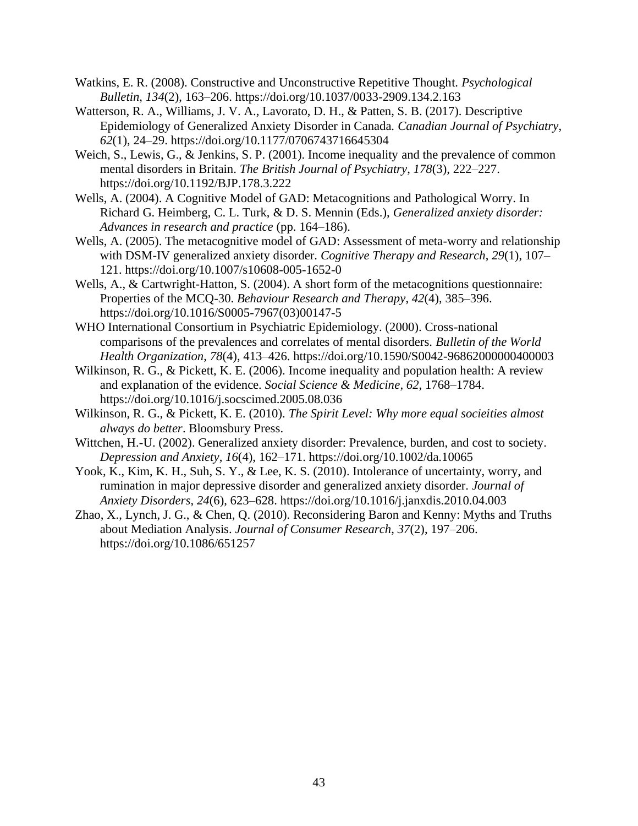- Watkins, E. R. (2008). Constructive and Unconstructive Repetitive Thought. *Psychological Bulletin*, *134*(2), 163–206. https://doi.org/10.1037/0033-2909.134.2.163
- Watterson, R. A., Williams, J. V. A., Lavorato, D. H., & Patten, S. B. (2017). Descriptive Epidemiology of Generalized Anxiety Disorder in Canada. *Canadian Journal of Psychiatry*, *62*(1), 24–29. https://doi.org/10.1177/0706743716645304
- Weich, S., Lewis, G., & Jenkins, S. P. (2001). Income inequality and the prevalence of common mental disorders in Britain. *The British Journal of Psychiatry*, *178*(3), 222–227. https://doi.org/10.1192/BJP.178.3.222
- Wells, A. (2004). A Cognitive Model of GAD: Metacognitions and Pathological Worry. In Richard G. Heimberg, C. L. Turk, & D. S. Mennin (Eds.), *Generalized anxiety disorder: Advances in research and practice* (pp. 164–186).
- Wells, A. (2005). The metacognitive model of GAD: Assessment of meta-worry and relationship with DSM-IV generalized anxiety disorder. *Cognitive Therapy and Research*, *29*(1), 107– 121. https://doi.org/10.1007/s10608-005-1652-0
- Wells, A., & Cartwright-Hatton, S. (2004). A short form of the metacognitions questionnaire: Properties of the MCQ-30. *Behaviour Research and Therapy*, *42*(4), 385–396. https://doi.org/10.1016/S0005-7967(03)00147-5
- WHO International Consortium in Psychiatric Epidemiology. (2000). Cross-national comparisons of the prevalences and correlates of mental disorders. *Bulletin of the World Health Organization*, *78*(4), 413–426. https://doi.org/10.1590/S0042-96862000000400003
- Wilkinson, R. G., & Pickett, K. E. (2006). Income inequality and population health: A review and explanation of the evidence. *Social Science & Medicine*, *62*, 1768–1784. https://doi.org/10.1016/j.socscimed.2005.08.036
- Wilkinson, R. G., & Pickett, K. E. (2010). *The Spirit Level: Why more equal socieities almost always do better*. Bloomsbury Press.
- Wittchen, H.-U. (2002). Generalized anxiety disorder: Prevalence, burden, and cost to society. *Depression and Anxiety*, *16*(4), 162–171. https://doi.org/10.1002/da.10065
- Yook, K., Kim, K. H., Suh, S. Y., & Lee, K. S. (2010). Intolerance of uncertainty, worry, and rumination in major depressive disorder and generalized anxiety disorder. *Journal of Anxiety Disorders*, *24*(6), 623–628. https://doi.org/10.1016/j.janxdis.2010.04.003
- Zhao, X., Lynch, J. G., & Chen, Q. (2010). Reconsidering Baron and Kenny: Myths and Truths about Mediation Analysis. *Journal of Consumer Research*, *37*(2), 197–206. https://doi.org/10.1086/651257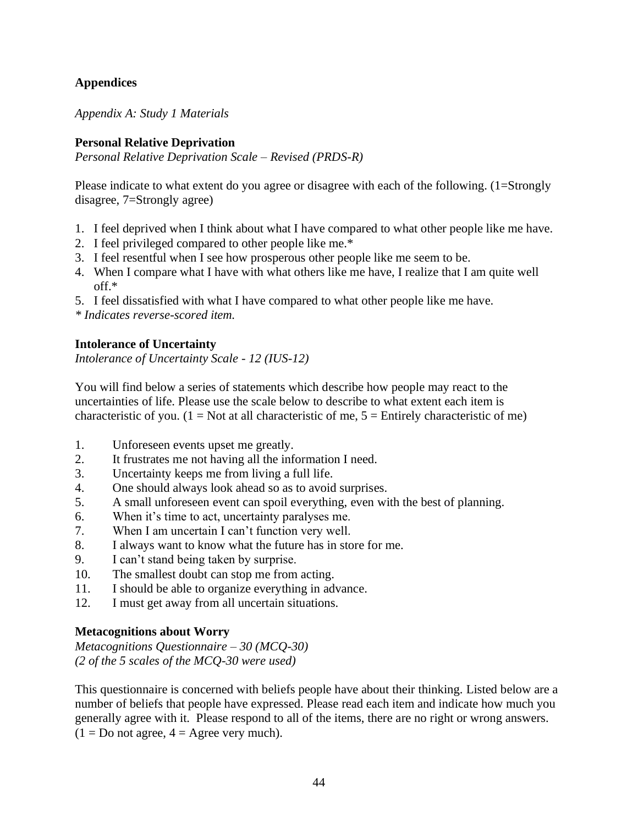# <span id="page-49-0"></span>**Appendices**

<span id="page-49-1"></span>*Appendix A: Study 1 Materials*

# **Personal Relative Deprivation**

*Personal Relative Deprivation Scale – Revised (PRDS-R)*

Please indicate to what extent do you agree or disagree with each of the following. (1=Strongly disagree, 7=Strongly agree)

- 1. I feel deprived when I think about what I have compared to what other people like me have.
- 2. I feel privileged compared to other people like me.\*
- 3. I feel resentful when I see how prosperous other people like me seem to be.
- 4. When I compare what I have with what others like me have, I realize that I am quite well off.\*
- 5. I feel dissatisfied with what I have compared to what other people like me have.

*\* Indicates reverse-scored item.* 

# **Intolerance of Uncertainty**

*Intolerance of Uncertainty Scale - 12 (IUS-12)*

You will find below a series of statements which describe how people may react to the uncertainties of life. Please use the scale below to describe to what extent each item is characteristic of you. (1 = Not at all characteristic of me,  $5 =$  Entirely characteristic of me)

- 1. Unforeseen events upset me greatly.
- 2. It frustrates me not having all the information I need.
- 3. Uncertainty keeps me from living a full life.
- 4. One should always look ahead so as to avoid surprises.
- 5. A small unforeseen event can spoil everything, even with the best of planning.
- 6. When it's time to act, uncertainty paralyses me.
- 7. When I am uncertain I can't function very well.
- 8. I always want to know what the future has in store for me.
- 9. I can't stand being taken by surprise.
- 10. The smallest doubt can stop me from acting.
- 11. I should be able to organize everything in advance.
- 12. I must get away from all uncertain situations.

# **Metacognitions about Worry**

*Metacognitions Questionnaire – 30 (MCQ-30) (2 of the 5 scales of the MCQ-30 were used)*

This questionnaire is concerned with beliefs people have about their thinking. Listed below are a number of beliefs that people have expressed. Please read each item and indicate how much you generally agree with it. Please respond to all of the items, there are no right or wrong answers.  $(1 = Do$  not agree,  $4 = Age$ e very much).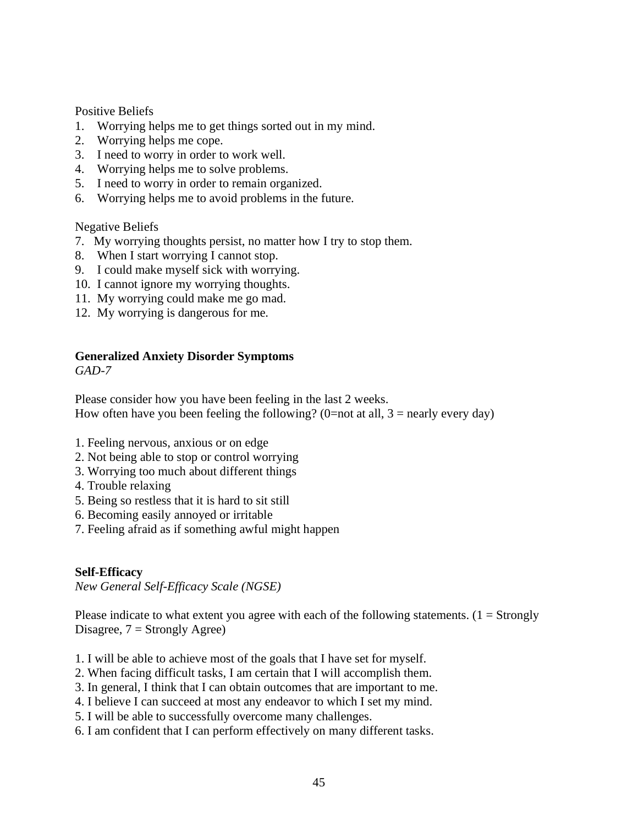Positive Beliefs

- 1. Worrying helps me to get things sorted out in my mind.
- 2. Worrying helps me cope.
- 3. I need to worry in order to work well.
- 4. Worrying helps me to solve problems.
- 5. I need to worry in order to remain organized.
- 6. Worrying helps me to avoid problems in the future.

Negative Beliefs

- 7. My worrying thoughts persist, no matter how I try to stop them.
- 8. When I start worrying I cannot stop.
- 9. I could make myself sick with worrying.
- 10. I cannot ignore my worrying thoughts.
- 11. My worrying could make me go mad.
- 12. My worrying is dangerous for me.

# **Generalized Anxiety Disorder Symptoms**

*GAD-7*

Please consider how you have been feeling in the last 2 weeks. How often have you been feeling the following? (0=not at all,  $3$  = nearly every day)

- 1. Feeling nervous, anxious or on edge
- 2. Not being able to stop or control worrying
- 3. Worrying too much about different things
- 4. Trouble relaxing
- 5. Being so restless that it is hard to sit still
- 6. Becoming easily annoyed or irritable
- 7. Feeling afraid as if something awful might happen

# **Self-Efficacy**

*New General Self-Efficacy Scale (NGSE)*

Please indicate to what extent you agree with each of the following statements.  $(1 = \text{Strongly})$ Disagree,  $7 =$  Strongly Agree)

- 1. I will be able to achieve most of the goals that I have set for myself.
- 2. When facing difficult tasks, I am certain that I will accomplish them.
- 3. In general, I think that I can obtain outcomes that are important to me.
- 4. I believe I can succeed at most any endeavor to which I set my mind.
- 5. I will be able to successfully overcome many challenges.
- 6. I am confident that I can perform effectively on many different tasks.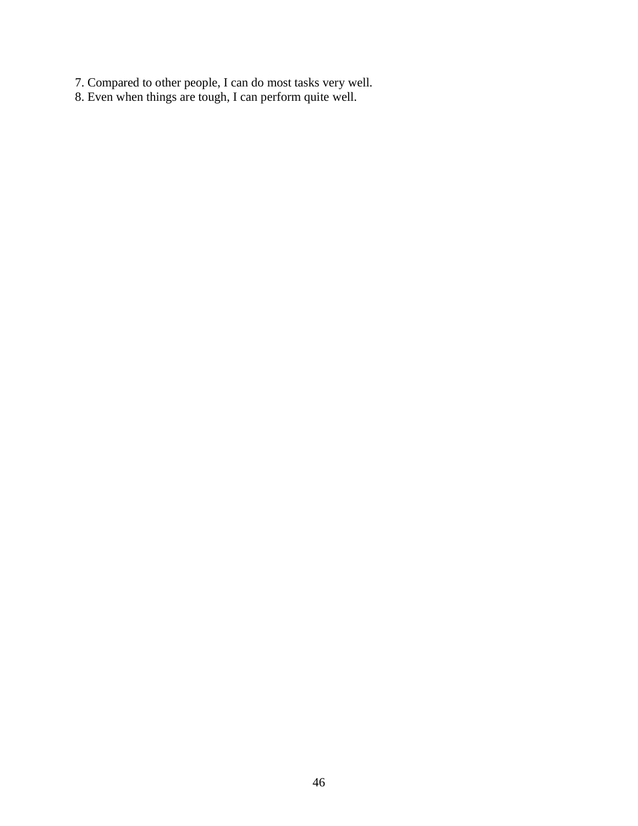- 7. Compared to other people, I can do most tasks very well.
- 8. Even when things are tough, I can perform quite well.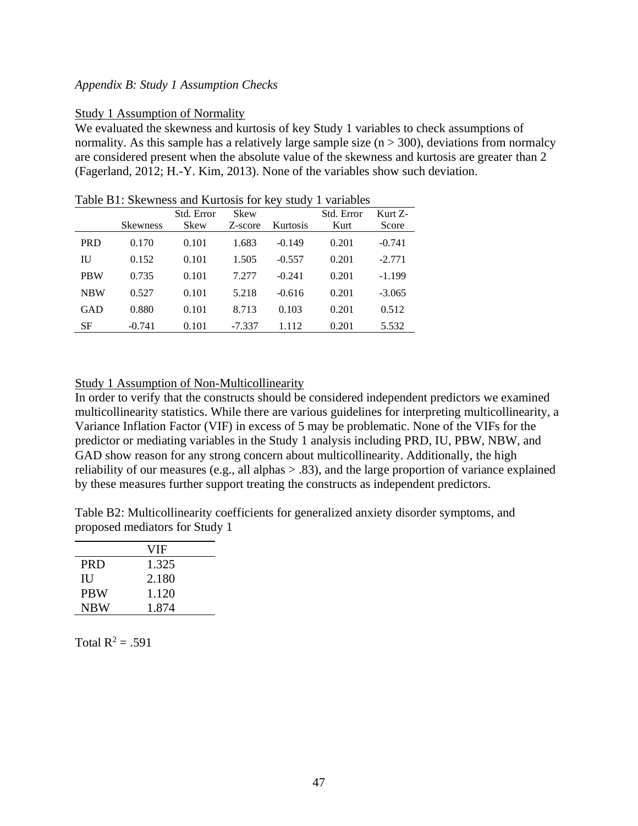# <span id="page-52-0"></span>*Appendix B: Study 1 Assumption Checks*

#### Study 1 Assumption of Normality

We evaluated the skewness and kurtosis of key Study 1 variables to check assumptions of normality. As this sample has a relatively large sample size  $(n > 300)$ , deviations from normalcy are considered present when the absolute value of the skewness and kurtosis are greater than 2 (Fagerland, 2012; H.-Y. Kim, 2013). None of the variables show such deviation.

|            | <b>Skewness</b> | Std. Error<br>Skew | Skew<br>Z-score | Kurtosis | Std. Error<br>Kurt | Kurt Z-<br>Score |
|------------|-----------------|--------------------|-----------------|----------|--------------------|------------------|
| <b>PRD</b> | 0.170           | 0.101              | 1.683           | $-0.149$ | 0.201              | $-0.741$         |
| IU         | 0.152           | 0.101              | 1.505           | $-0.557$ | 0.201              | $-2.771$         |
| <b>PBW</b> | 0.735           | 0.101              | 7.277           | $-0.241$ | 0.201              | $-1.199$         |
| <b>NBW</b> | 0.527           | 0.101              | 5.218           | $-0.616$ | 0.201              | $-3.065$         |
| GAD        | 0.880           | 0.101              | 8.713           | 0.103    | 0.201              | 0.512            |
| SF         | $-0.741$        | 0.101              | $-7.337$        | 1.112    | 0.201              | 5.532            |

#### Table B1: Skewness and Kurtosis for key study 1 variables

#### Study 1 Assumption of Non-Multicollinearity

In order to verify that the constructs should be considered independent predictors we examined multicollinearity statistics. While there are various guidelines for interpreting multicollinearity, a Variance Inflation Factor (VIF) in excess of 5 may be problematic. None of the VIFs for the predictor or mediating variables in the Study 1 analysis including PRD, IU, PBW, NBW, and GAD show reason for any strong concern about multicollinearity. Additionally, the high reliability of our measures (e.g., all alphas > .83), and the large proportion of variance explained by these measures further support treating the constructs as independent predictors.

Table B2: Multicollinearity coefficients for generalized anxiety disorder symptoms, and proposed mediators for Study 1

|            | VIF   |
|------------|-------|
| <b>PRD</b> | 1.325 |
| Ш          | 2.180 |
| <b>PRW</b> | 1.120 |
| <b>NBW</b> | 1.874 |

Total  $R^2 = .591$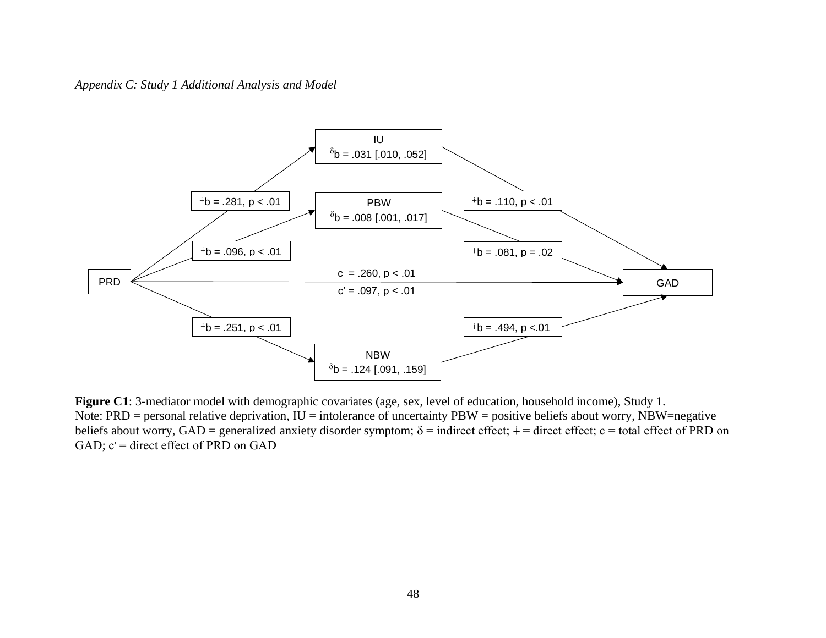# *Appendix C: Study 1 Additional Analysis and Model*



<span id="page-53-0"></span>**Figure C1**: 3-mediator model with demographic covariates (age, sex, level of education, household income), Study 1. Note:  $PRD =$  personal relative deprivation,  $IU =$  intolerance of uncertainty  $PBW =$  positive beliefs about worry, NBW=negative beliefs about worry, GAD = generalized anxiety disorder symptom;  $\delta$  = indirect effect;  $\dagger$  = direct effect; c = total effect of PRD on GAD;  $c'$  = direct effect of PRD on GAD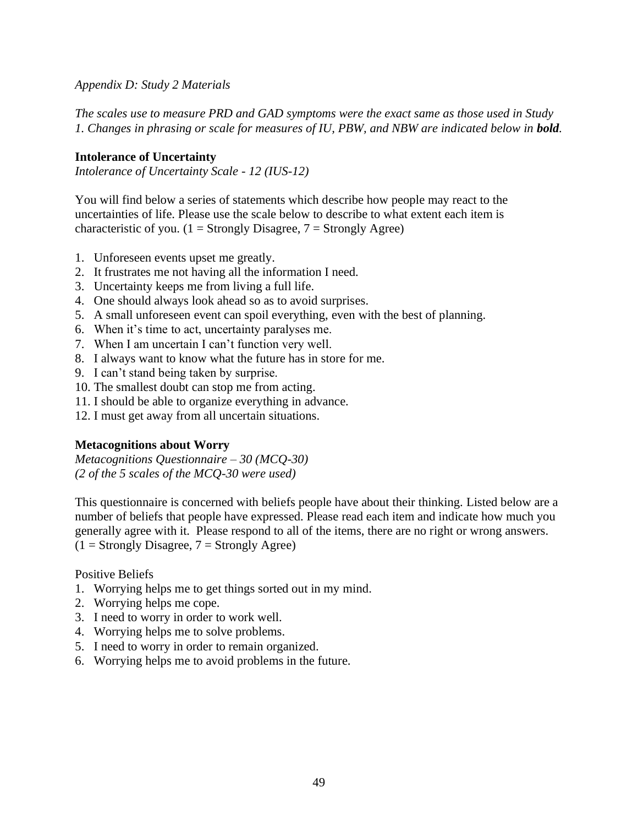<span id="page-54-0"></span>*Appendix D: Study 2 Materials*

*The scales use to measure PRD and GAD symptoms were the exact same as those used in Study 1. Changes in phrasing or scale for measures of IU, PBW, and NBW are indicated below in bold.* 

# **Intolerance of Uncertainty**

*Intolerance of Uncertainty Scale - 12 (IUS-12)*

You will find below a series of statements which describe how people may react to the uncertainties of life. Please use the scale below to describe to what extent each item is characteristic of you. ( $1 =$  Strongly Disagree,  $7 =$  Strongly Agree)

- 1. Unforeseen events upset me greatly.
- 2. It frustrates me not having all the information I need.
- 3. Uncertainty keeps me from living a full life.
- 4. One should always look ahead so as to avoid surprises.
- 5. A small unforeseen event can spoil everything, even with the best of planning.
- 6. When it's time to act, uncertainty paralyses me.
- 7. When I am uncertain I can't function very well.
- 8. I always want to know what the future has in store for me.
- 9. I can't stand being taken by surprise.
- 10. The smallest doubt can stop me from acting.
- 11. I should be able to organize everything in advance.
- 12. I must get away from all uncertain situations.

# **Metacognitions about Worry**

*Metacognitions Questionnaire – 30 (MCQ-30) (2 of the 5 scales of the MCQ-30 were used)*

This questionnaire is concerned with beliefs people have about their thinking. Listed below are a number of beliefs that people have expressed. Please read each item and indicate how much you generally agree with it. Please respond to all of the items, there are no right or wrong answers.  $(1 =$  Strongly Disagree,  $7 =$  Strongly Agree)

Positive Beliefs

- 1. Worrying helps me to get things sorted out in my mind.
- 2. Worrying helps me cope.
- 3. I need to worry in order to work well.
- 4. Worrying helps me to solve problems.
- 5. I need to worry in order to remain organized.
- 6. Worrying helps me to avoid problems in the future.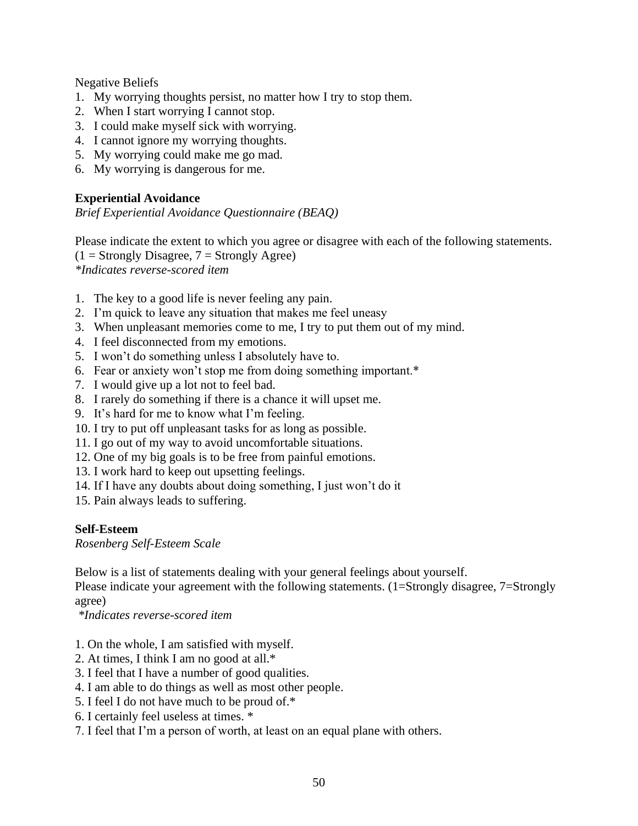Negative Beliefs

- 1. My worrying thoughts persist, no matter how I try to stop them.
- 2. When I start worrying I cannot stop.
- 3. I could make myself sick with worrying.
- 4. I cannot ignore my worrying thoughts.
- 5. My worrying could make me go mad.
- 6. My worrying is dangerous for me.

# **Experiential Avoidance**

*Brief Experiential Avoidance Questionnaire (BEAQ)*

Please indicate the extent to which you agree or disagree with each of the following statements.  $(1 =$  Strongly Disagree,  $7 =$  Strongly Agree) *\*Indicates reverse-scored item*

- 1. The key to a good life is never feeling any pain.
- 2. I'm quick to leave any situation that makes me feel uneasy
- 3. When unpleasant memories come to me, I try to put them out of my mind.
- 4. I feel disconnected from my emotions.
- 5. I won't do something unless I absolutely have to.
- 6. Fear or anxiety won't stop me from doing something important.\*
- 7. I would give up a lot not to feel bad.
- 8. I rarely do something if there is a chance it will upset me.
- 9. It's hard for me to know what I'm feeling.
- 10. I try to put off unpleasant tasks for as long as possible.
- 11. I go out of my way to avoid uncomfortable situations.
- 12. One of my big goals is to be free from painful emotions.
- 13. I work hard to keep out upsetting feelings.
- 14. If I have any doubts about doing something, I just won't do it
- 15. Pain always leads to suffering.

# **Self-Esteem**

*Rosenberg Self-Esteem Scale*

Below is a list of statements dealing with your general feelings about yourself.

Please indicate your agreement with the following statements. (1=Strongly disagree, 7=Strongly agree)

*\*Indicates reverse-scored item*

- 1. On the whole, I am satisfied with myself.
- 2. At times, I think I am no good at all.\*
- 3. I feel that I have a number of good qualities.
- 4. I am able to do things as well as most other people.
- 5. I feel I do not have much to be proud of.\*
- 6. I certainly feel useless at times. \*
- 7. I feel that I'm a person of worth, at least on an equal plane with others.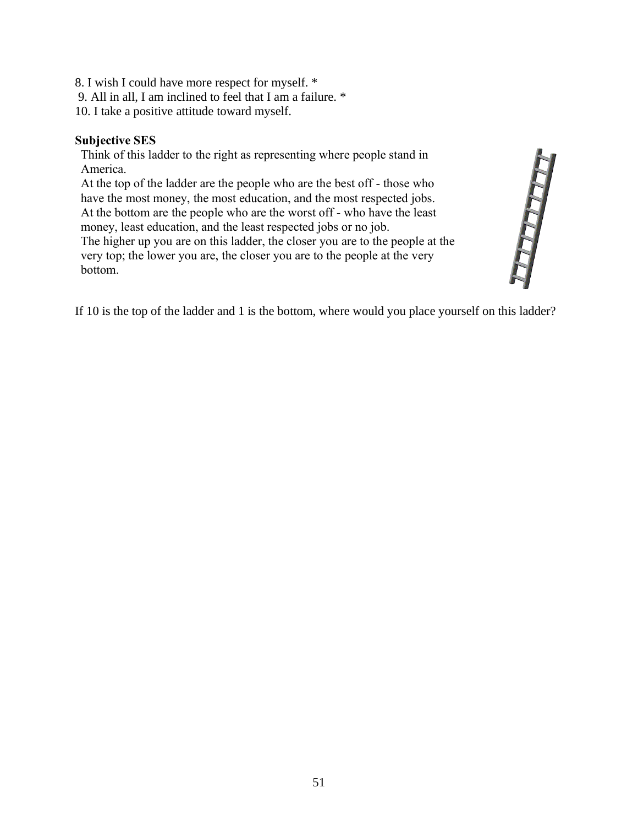- 8. I wish I could have more respect for myself. \*
- 9. All in all, I am inclined to feel that I am a failure. \*
- 10. I take a positive attitude toward myself.

# **Subjective SES**

Think of this ladder to the right as representing where people stand in America.

At the top of the ladder are the people who are the best off - those who have the most money, the most education, and the most respected jobs. At the bottom are the people who are the worst off - who have the least money, least education, and the least respected jobs or no job. The higher up you are on this ladder, the closer you are to the people at the

very top; the lower you are, the closer you are to the people at the very bottom.



If 10 is the top of the ladder and 1 is the bottom, where would you place yourself on this ladder?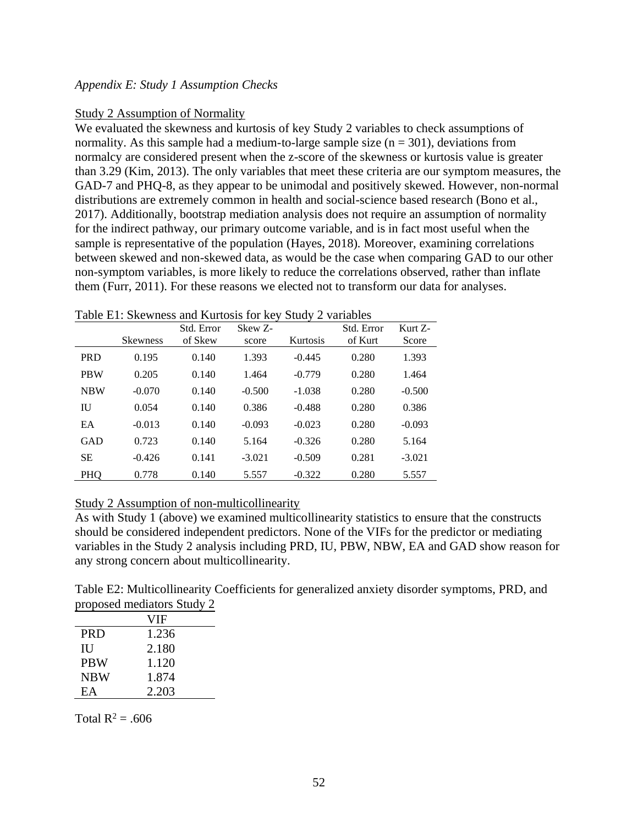# <span id="page-57-0"></span>*Appendix E: Study 1 Assumption Checks*

# Study 2 Assumption of Normality

We evaluated the skewness and kurtosis of key Study 2 variables to check assumptions of normality. As this sample had a medium-to-large sample size  $(n = 301)$ , deviations from normalcy are considered present when the z-score of the skewness or kurtosis value is greater than 3.29 (Kim, 2013). The only variables that meet these criteria are our symptom measures, the GAD-7 and PHQ-8, as they appear to be unimodal and positively skewed. However, non-normal distributions are extremely common in health and social-science based research (Bono et al., 2017). Additionally, bootstrap mediation analysis does not require an assumption of normality for the indirect pathway, our primary outcome variable, and is in fact most useful when the sample is representative of the population (Hayes, 2018)*.* Moreover, examining correlations between skewed and non-skewed data, as would be the case when comparing GAD to our other non-symptom variables, is more likely to reduce the correlations observed, rather than inflate them (Furr, 2011). For these reasons we elected not to transform our data for analyses.

|            |                 | Std. Error | Skew Z-  |          | Std. Error | Kurt Z-  |
|------------|-----------------|------------|----------|----------|------------|----------|
|            | <b>Skewness</b> | of Skew    | score    | Kurtosis | of Kurt    | Score    |
| <b>PRD</b> | 0.195           | 0.140      | 1.393    | $-0.445$ | 0.280      | 1.393    |
| <b>PBW</b> | 0.205           | 0.140      | 1.464    | $-0.779$ | 0.280      | 1.464    |
| <b>NBW</b> | $-0.070$        | 0.140      | $-0.500$ | $-1.038$ | 0.280      | $-0.500$ |
| IU         | 0.054           | 0.140      | 0.386    | $-0.488$ | 0.280      | 0.386    |
| EA         | $-0.013$        | 0.140      | $-0.093$ | $-0.023$ | 0.280      | $-0.093$ |
| <b>GAD</b> | 0.723           | 0.140      | 5.164    | $-0.326$ | 0.280      | 5.164    |
| <b>SE</b>  | $-0.426$        | 0.141      | $-3.021$ | $-0.509$ | 0.281      | $-3.021$ |
| PHQ        | 0.778           | 0.140      | 5.557    | $-0.322$ | 0.280      | 5.557    |

Table E1: Skewness and Kurtosis for key Study 2 variables

# Study 2 Assumption of non-multicollinearity

As with Study 1 (above) we examined multicollinearity statistics to ensure that the constructs should be considered independent predictors. None of the VIFs for the predictor or mediating variables in the Study 2 analysis including PRD, IU, PBW, NBW, EA and GAD show reason for any strong concern about multicollinearity.

Table E2: Multicollinearity Coefficients for generalized anxiety disorder symptoms, PRD, and proposed mediators Study 2

|            | VIF   |
|------------|-------|
| <b>PRD</b> | 1.236 |
| Ш          | 2.180 |
| <b>PBW</b> | 1.120 |
| <b>NBW</b> | 1.874 |
| EA         | 2.203 |

Total  $R^2 = .606$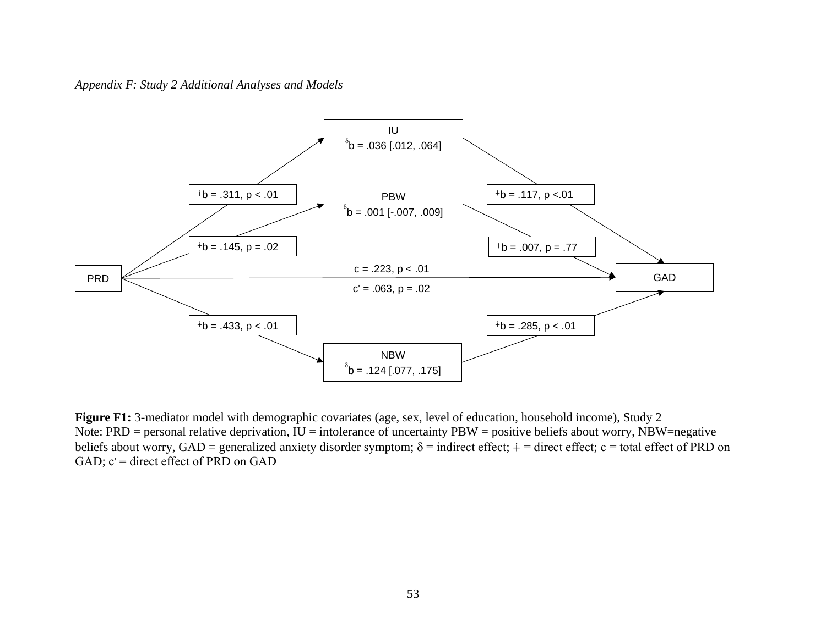*Appendix F: Study 2 Additional Analyses and Models* 



<span id="page-58-0"></span>**Figure F1:** 3-mediator model with demographic covariates (age, sex, level of education, household income), Study 2 Note:  $PRD =$  personal relative deprivation,  $IU =$  intolerance of uncertainty  $PBW =$  positive beliefs about worry,  $NBW =$ negative beliefs about worry, GAD = generalized anxiety disorder symptom;  $\delta$  = indirect effect;  $\dot{+}$  = direct effect; c = total effect of PRD on GAD;  $c'$  = direct effect of PRD on GAD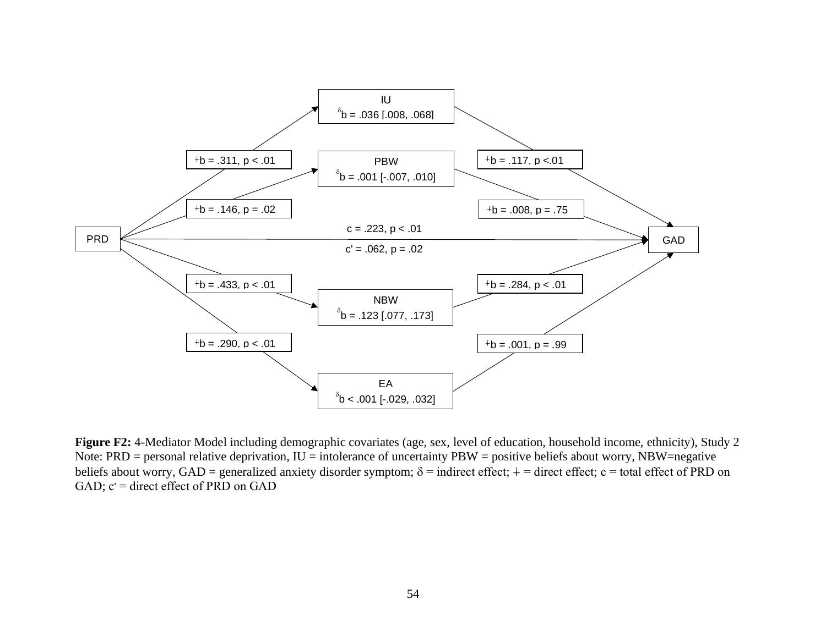

**Figure F2:** 4-Mediator Model including demographic covariates (age, sex, level of education, household income, ethnicity), Study 2 Note:  $PRD =$  personal relative deprivation,  $IU =$  intolerance of uncertainty  $PBW =$  positive beliefs about worry, NBW=negative beliefs about worry, GAD = generalized anxiety disorder symptom;  $\delta$  = indirect effect;  $\dot{+}$  = direct effect; c = total effect of PRD on GAD;  $c'$  = direct effect of PRD on GAD